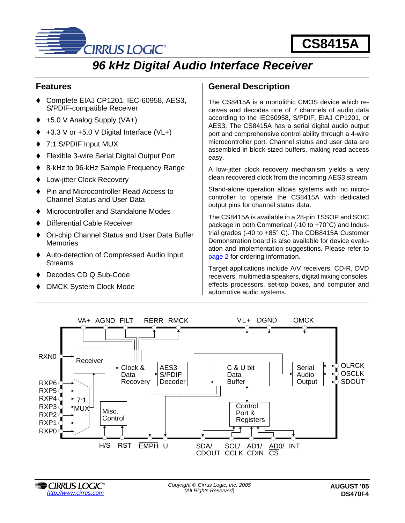

# *96 kHz Digital Audio Interface Receiver*

# **Features**

- ◆ Complete EIAJ CP1201, IEC-60958, AES3, S/PDIF-compatible Receiver
- $\leftrightarrow$  +5.0 V Analog Supply (VA+)
- $+3.3$  V or  $+5.0$  V Digital Interface (VL $+$ )
- ◆ 7:1 S/PDIF Input MUX
- ◆ Flexible 3-wire Serial Digital Output Port
- ♦ 8-kHz to 96-kHz Sample Frequency Range
- ◆ Low-jitter Clock Recovery
- ♦ Pin and Microcontroller Read Access to Channel Status and User Data
- ♦ Microcontroller and Standalone Modes
- ! Differential Cable Receiver
- ♦ On-chip Channel Status and User Data Buffer **Memories**
- ! Auto-detection of Compressed Audio Input **Streams**
- ! Decodes CD Q Sub-Code
- OMCK System Clock Mode

# **General Description**

The CS8415A is a monolithic CMOS device which receives and decodes one of 7 channels of audio data according to the IEC60958, S/PDIF, EIAJ CP1201, or AES3. The CS8415A has a serial digital audio output port and comprehensive control ability through a 4-wire microcontroller port. Channel status and user data are assembled in block-sized buffers, making read access easy.

A low-jitter clock recovery mechanism yields a very clean recovered clock from the incoming AES3 stream.

Stand-alone operation allows systems with no microcontroller to operate the CS8415A with dedicated output pins for channel status data.

The CS8415A is available in a 28-pin TSSOP and SOIC package in both Commerical (-10 to +70°C) and Industrial grades (-40 to +85° C). The CDB8415A Customer Demonstration board is also available for device evaluation and implementation suggestions. Please refer to [page 2](#page-1-0) for ordering information.

Target applications include A/V receivers, CD-R, DVD receivers, multimedia speakers, digital mixing consoles, effects processors, set-top boxes, and computer and automotive audio systems.



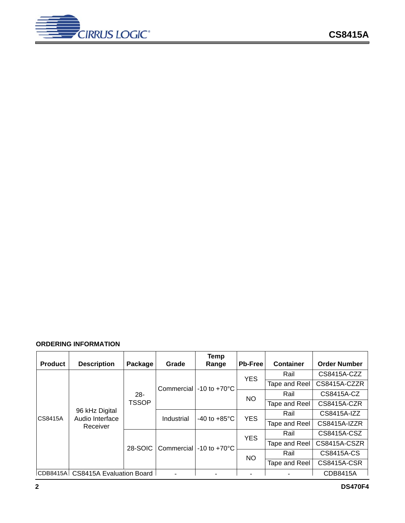

## <span id="page-1-0"></span>**ORDERING INFORMATION**

| <b>Product</b> | <b>Description</b>                            | Package      | Grade      | <b>Temp</b><br>Range                      | <b>Pb-Free</b> | Container     | <b>Order Number</b> |
|----------------|-----------------------------------------------|--------------|------------|-------------------------------------------|----------------|---------------|---------------------|
|                |                                               |              |            |                                           | <b>YES</b>     | Rail          | CS8415A-CZZ         |
| CS8415A        |                                               |              |            | Commercial $\vert$ -10 to +70 $\degree$ C |                | Tape and Reel | CS8415A-CZZR        |
|                |                                               | $28 -$       |            |                                           | <b>NO</b>      | Rail          | CS8415A-CZ          |
|                | 96 kHz Digital<br>Audio Interface<br>Receiver | <b>TSSOP</b> |            |                                           |                | Tape and Reel | CS8415A-CZR         |
|                |                                               |              | Industrial | -40 to $+85^{\circ}$ C                    | <b>YES</b>     | Rail          | CS8415A-IZZ         |
|                |                                               |              |            |                                           |                | Tape and Reel | CS8415A-IZZR        |
|                |                                               | 28-SOIC      |            |                                           | <b>YES</b>     | Rail          | CS8415A-CSZ         |
|                |                                               |              |            | Commercial $\vert$ -10 to +70 $\degree$ C |                | Tape and Reel | CS8415A-CSZR        |
|                |                                               |              |            |                                           | <b>NO</b>      | Rail          | CS8415A-CS          |
|                |                                               |              |            |                                           |                | Tape and Reel | <b>CS8415A-CSR</b>  |
| CDB8415A       | CS8415A Evaluation Board                      |              |            |                                           |                |               | CDB8415A            |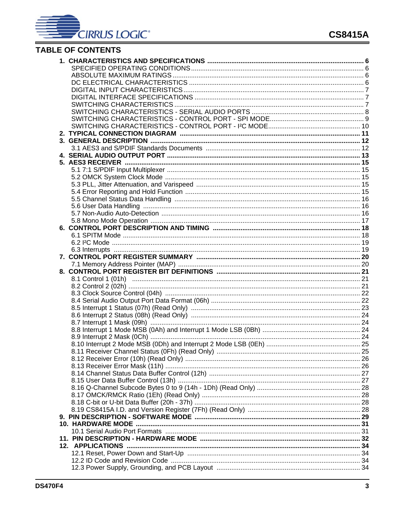

# TABLE OF CONTENTS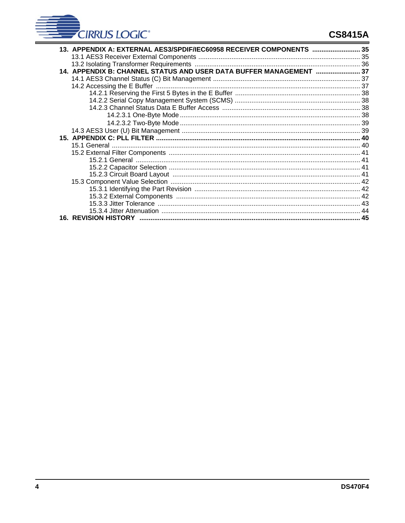

# **CS8415A**

| 13. APPENDIX A: EXTERNAL AES3/SPDIF/IEC60958 RECEIVER COMPONENTS  35 |  |
|----------------------------------------------------------------------|--|
|                                                                      |  |
|                                                                      |  |
| 14. APPENDIX B: CHANNEL STATUS AND USER DATA BUFFER MANAGEMENT  37   |  |
|                                                                      |  |
|                                                                      |  |
|                                                                      |  |
|                                                                      |  |
|                                                                      |  |
|                                                                      |  |
|                                                                      |  |
|                                                                      |  |
|                                                                      |  |
|                                                                      |  |
|                                                                      |  |
|                                                                      |  |
|                                                                      |  |
|                                                                      |  |
|                                                                      |  |
|                                                                      |  |
|                                                                      |  |
|                                                                      |  |
|                                                                      |  |
|                                                                      |  |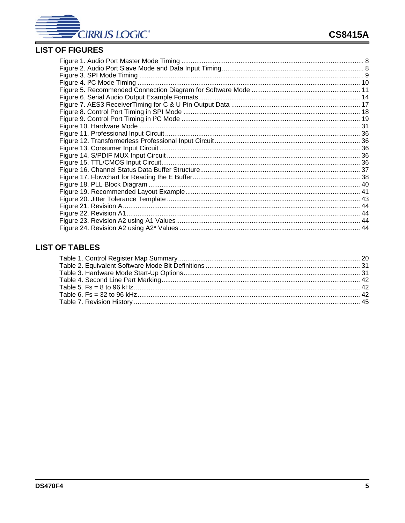

# **LIST OF FIGURES**

# **LIST OF TABLES**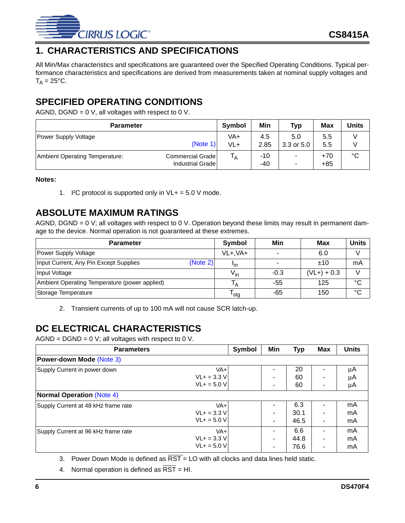

# **1. CHARACTERISTICS AND SPECIFICATIONS**

All Min/Max characteristics and specifications are guaranteed over the Specified Operating Conditions. Typical performance characteristics and specifications are derived from measurements taken at nominal supply voltages and  $T_A = 25$ °C.

# **SPECIFIED OPERATING CONDITIONS**

AGND, DGND =  $0$  V, all voltages with respect to  $0$  V.

| <b>Parameter</b>                                                       | Symbol         | Min         | <b>Typ</b>            | <b>Max</b>     | Units           |
|------------------------------------------------------------------------|----------------|-------------|-----------------------|----------------|-----------------|
| Power Supply Voltage<br>(Note 1)                                       | VA+<br>$VL+$   | 4.5<br>2.85 | 5.0<br>$3.3$ or $5.0$ | 5.5<br>5.5     |                 |
| Commercial Grade<br>Ambient Operating Temperature:<br>Industrial Grade | Т <sub>А</sub> | -10<br>-40  | -<br>۰                | $+70$<br>$+85$ | $\rm ^{\circ}C$ |

#### **Notes:**

1. I<sup>2</sup>C protocol is supported only in  $VL+=5.0$  V mode.

# **ABSOLUTE MAXIMUM RATINGS**

AGND, DGND = 0 V; all voltages with respect to 0 V. Operation beyond these limits may result in permanent damage to the device. Normal operation is not guaranteed at these extremes.

| <b>Parameter</b>                                   | Symbol           | Min    | Max           | <b>Units</b> |
|----------------------------------------------------|------------------|--------|---------------|--------------|
| Power Supply Voltage                               | $VL+, VA+$       |        | 6.0           |              |
| (Note 2)<br>Input Current, Any Pin Except Supplies | <u>Iin</u>       |        | ±10           | mA           |
| Input Voltage                                      | $V_{in}$         | $-0.3$ | $(VL+) + 0.3$ |              |
| Ambient Operating Temperature (power applied)      |                  | -55    | 125           | °C           |
| Storage Temperature                                | <sup>I</sup> stg | -65    | 150           | °C           |

2. Transient currents of up to 100 mA will not cause SCR latch-up.

# <span id="page-5-0"></span>**DC ELECTRICAL CHARACTERISTICS**

 $AGND = DGND = 0$  V; all voltages with respect to 0 V.

| <b>Parameters</b>                          | Symbol | Min            | <b>Typ</b> | Max | <b>Units</b> |
|--------------------------------------------|--------|----------------|------------|-----|--------------|
| Power-down Mode (Note 3)                   |        |                |            |     |              |
| VA+<br>Supply Current in power down        |        |                | 20         |     | μA           |
| $VL+ = 3.3 V$                              |        | ۰              | 60         |     | μA           |
| $VL + = 5.0 V$                             |        | ۰              | 60         |     | μA           |
| <b>Normal Operation (Note 4)</b>           |        |                |            |     |              |
| VA+<br>Supply Current at 48 kHz frame rate |        |                | 6.3        |     | mA           |
| $VL+ = 3.3 V$                              |        | $\blacksquare$ | 30.1       |     | mA           |
| $VL+ = 5.0 V$                              |        | ۰              | 46.5       |     | mA           |
| VA+<br>Supply Current at 96 kHz frame rate |        |                | 6.6        |     | mA           |
| $VL + = 3.3 V$                             |        | $\blacksquare$ | 44.8       |     | mA           |
| $VL+ = 5.0 V$                              |        | -              | 76.6       |     | mA           |

3. Power Down Mode is defined as  $\overline{RST}$  = LO with all clocks and data lines held static.

<span id="page-5-1"></span>4. Normal operation is defined as  $\overline{\text{RST}}$  = HI.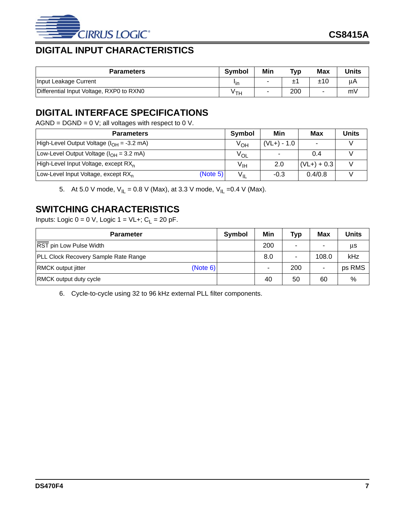

# **DIGITAL INPUT CHARACTERISTICS**

| <b>Parameters</b>                        | <b>Symbol</b> | Min | <b>Typ</b> | <b>Max</b> | <b>Units</b> |
|------------------------------------------|---------------|-----|------------|------------|--------------|
| Input Leakage Current                    | 'in           |     |            | ±10        | uА           |
| Differential Input Voltage, RXP0 to RXN0 | ∨тн           |     | 200        | -          | mV           |

# **DIGITAL INTERFACE SPECIFICATIONS**

 $AGND = DGND = 0$  V; all voltages with respect to 0 V.

| <b>Parameters</b>                                           | Symbol          | Min                      | Max           | <b>Units</b> |
|-------------------------------------------------------------|-----------------|--------------------------|---------------|--------------|
| High-Level Output Voltage ( $I_{OH}$ = -3.2 mA)             | V <sub>ОН</sub> | $(VL+) - 1.0$            |               |              |
| Low-Level Output Voltage $(IOH = 3.2 mA)$                   | $V_{OL}$        | $\overline{\phantom{a}}$ | 0.4           |              |
| High-Level Input Voltage, except RX <sub>n</sub>            | V <sub>IH</sub> | 2.0                      | $(VL+) + 0.3$ |              |
| (Note 5)<br>Low-Level Input Voltage, except RX <sub>n</sub> | $V_{IL}$        | $-0.3$                   | 0.4/0.8       |              |

5. At 5.0 V mode,  $V_{II} = 0.8$  V (Max), at 3.3 V mode,  $V_{II} = 0.4$  V (Max).

# **SWITCHING CHARACTERISTICS**

Inputs: Logic  $0 = 0$  V, Logic  $1 = \text{VL}$ +;  $C_L = 20$  pF.

| <b>Parameter</b>                      | Symbol | Min | <b>Typ</b> | Max   | <b>Units</b> |
|---------------------------------------|--------|-----|------------|-------|--------------|
| RST pin Low Pulse Width               |        | 200 | ۰          | ۰     | μs           |
| PLL Clock Recovery Sample Rate Range  |        | 8.0 | ۰          | 108.0 | kHz          |
| (Note 6)<br><b>RMCK output jitter</b> |        |     | 200        | ۰     | ps RMS       |
| <b>RMCK output duty cycle</b>         |        | 40  | 50         | 60    | %            |

<span id="page-6-0"></span>6. Cycle-to-cycle using 32 to 96 kHz external PLL filter components.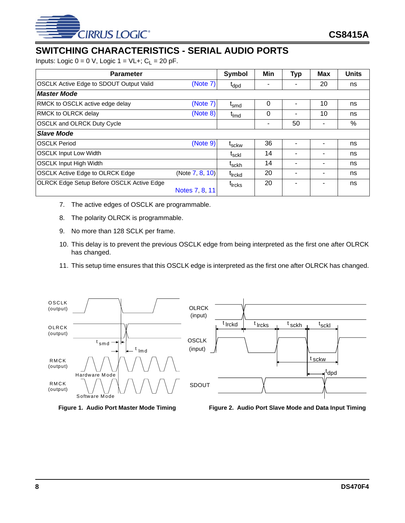

# **SWITCHING CHARACTERISTICS - SERIAL AUDIO PORTS**

Inputs: Logic  $0 = 0$  V, Logic  $1 = \text{VL}+$ ;  $C_L = 20$  pF.

| <b>Parameter</b>                                 |                    | <b>Symbol</b>      | Min | <b>Typ</b> | <b>Max</b>               | <b>Units</b> |
|--------------------------------------------------|--------------------|--------------------|-----|------------|--------------------------|--------------|
| <b>OSCLK Active Edge to SDOUT Output Valid</b>   | (Note 7)           | $t_{dpd}$          |     | ۰          | 20                       | ns           |
| <b>Master Mode</b>                               |                    |                    |     |            |                          |              |
| <b>RMCK to OSCLK active edge delay</b>           | (Note 7)           | $I_{\text{smd}}$   | 0   |            | 10                       | ns           |
| <b>RMCK to OLRCK delay</b>                       | (Note 8)           | t <sub>imd</sub>   | 0   | -          | 10                       | ns           |
| <b>OSCLK and OLRCK Duty Cycle</b>                |                    |                    | ۰   | 50         | ٠                        | $\%$         |
| <b>Slave Mode</b>                                |                    |                    |     |            |                          |              |
| <b>IOSCLK Period</b>                             | (Note 9)           | t <sub>sckw</sub>  | 36  |            | $\overline{\phantom{0}}$ | ns           |
| <b>OSCLK Input Low Width</b>                     |                    | t <sub>sckl</sub>  | 14  | -          | ۰                        | ns           |
| <b>OSCLK Input High Width</b>                    |                    | t <sub>sckh</sub>  | 14  | ۰          | ۰                        | ns           |
| <b>OSCLK Active Edge to OLRCK Edge</b>           | (Note $7, 8, 10$ ) | t <sub>irckd</sub> | 20  | -          | ۰                        | ns           |
| <b>OLRCK Edge Setup Before OSCLK Active Edge</b> | Notes 7, 8, 11     | t <sub>ircks</sub> | 20  | ۰          | $\overline{\phantom{a}}$ | ns           |

- <span id="page-7-2"></span>7. The active edges of OSCLK are programmable.
- <span id="page-7-4"></span>8. The polarity OLRCK is programmable.
- <span id="page-7-3"></span>9. No more than 128 SCLK per frame.
- <span id="page-7-5"></span>10. This delay is to prevent the previous OSCLK edge from being interpreted as the first one after OLRCK has changed.
- <span id="page-7-6"></span>11. This setup time ensures that this OSCLK edge is interpreted as the first one after OLRCK has changed.



<span id="page-7-0"></span>

<span id="page-7-1"></span>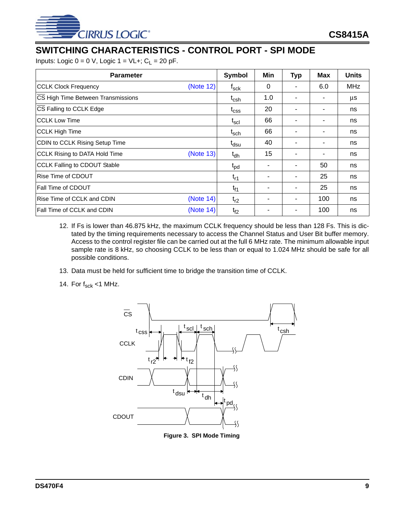

# **SWITCHING CHARACTERISTICS - CONTROL PORT - SPI MODE**

Inputs: Logic  $0 = 0$  V, Logic  $1 = \text{VL}+$ ;  $C_L = 20$  pF.

| <b>Parameter</b>                           | Symbol                       | Min            | <b>Typ</b>               | <b>Max</b> | <b>Units</b> |
|--------------------------------------------|------------------------------|----------------|--------------------------|------------|--------------|
| <b>CCLK Clock Frequency</b><br>(Note 12)   | $f_{\sf sck}$                | 0              |                          | 6.0        | <b>MHz</b>   |
| CS High Time Between Transmissions         | $t_{\mathsf{csh}}$           | 1.0            | ٠                        | ۰          | μs           |
| CS Falling to CCLK Edge                    | $t_{\rm css}$                | 20             | ٠                        | ۰          | ns           |
| <b>CCLK Low Time</b>                       | $\mathfrak{t}_{\sf scl}$     | 66             | ۰                        | ۰          | ns           |
| <b>CCLK High Time</b>                      | $\mathfrak{t}_{\sf sch}$     | 66             |                          | ۰          | ns           |
| CDIN to CCLK Rising Setup Time             | t <sub>dsu</sub>             | 40             | ٠                        | ۰          | ns           |
| (Note 13)<br>CCLK Rising to DATA Hold Time | $t_{dh}$                     | 15             | $\overline{\phantom{a}}$ | ٠          | ns           |
| <b>CCLK Falling to CDOUT Stable</b>        | $\mathfrak{t}_{\mathsf{pd}}$ | $\blacksquare$ | ۰                        | 50         | ns           |
| Rise Time of CDOUT                         | $t_{r1}$                     |                | ٠                        | 25         | ns           |
| Fall Time of CDOUT                         | t <sub>f1</sub>              |                | ٠                        | 25         | ns           |
| (Note 14)<br>Rise Time of CCLK and CDIN    | $t_{r2}$                     |                | $\overline{\phantom{a}}$ | 100        | ns           |
| Fall Time of CCLK and CDIN<br>(Note 14)    | $t_{f2}$                     |                | ٠                        | 100        | ns           |

- <span id="page-8-3"></span>12. If Fs is lower than 46.875 kHz, the maximum CCLK frequency should be less than 128 Fs. This is dictated by the timing requirements necessary to access the Channel Status and User Bit buffer memory. Access to the control register file can be carried out at the full 6 MHz rate. The minimum allowable input sample rate is 8 kHz, so choosing CCLK to be less than or equal to 1.024 MHz should be safe for all possible conditions.
- <span id="page-8-1"></span>13. Data must be held for sufficient time to bridge the transition time of CCLK.
- <span id="page-8-2"></span>14. For  $f_{sck}$  <1 MHz.



<span id="page-8-0"></span>**Figure 3. SPI Mode Timing**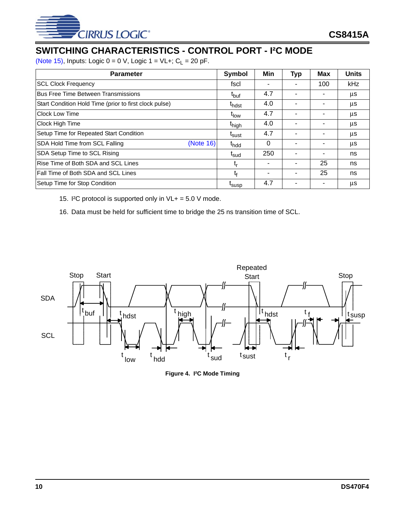

# **SWITCHING CHARACTERISTICS - CONTROL PORT - I²C MODE**

[\(Note 15\),](#page-9-1) Inputs: Logic  $0 = 0$  V, Logic  $1 = \text{VL} +$ ;  $C_L = 20$  pF.

| <b>Parameter</b>                                       | Symbol            | Min                      | <b>Typ</b>               | <b>Max</b> | <b>Units</b> |
|--------------------------------------------------------|-------------------|--------------------------|--------------------------|------------|--------------|
| <b>SCL Clock Frequency</b>                             | fscl              |                          |                          | 100        | <b>kHz</b>   |
| <b>Bus Free Time Between Transmissions</b>             | t <sub>buf</sub>  | 4.7                      |                          |            | μs           |
| Start Condition Hold Time (prior to first clock pulse) | t <sub>hdst</sub> | 4.0                      |                          |            | μs           |
| Clock Low Time                                         | t <sub>low</sub>  | 4.7                      |                          |            | μs           |
| Clock High Time                                        | t <sub>high</sub> | 4.0                      | ٠                        | ۰          | μs           |
| Setup Time for Repeated Start Condition                | <sup>L</sup> sust | 4.7                      | $\overline{\phantom{0}}$ | ۰          | μs           |
| (Note 16)<br>SDA Hold Time from SCL Falling            | t <sub>hdd</sub>  | 0                        | $\overline{\phantom{0}}$ | ۰          | μs           |
| SDA Setup Time to SCL Rising                           | t <sub>sud</sub>  | 250                      | ۰                        | ۰          | ns           |
| Rise Time of Both SDA and SCL Lines                    | t,                |                          | ٠                        | 25         | ns           |
| Fall Time of Both SDA and SCL Lines                    | t,                | $\overline{\phantom{0}}$ | $\overline{\phantom{0}}$ | 25         | ns           |
| Setup Time for Stop Condition                          | <sup>L</sup> susp | 4.7                      | ۰                        | ۰          | μs           |

<span id="page-9-1"></span>15. I<sup>2</sup>C protocol is supported only in  $VL+=5.0$  V mode.

<span id="page-9-2"></span>16. Data must be held for sufficient time to bridge the 25 ns transition time of SCL.

<span id="page-9-0"></span>

**Figure 4. I²C Mode Timing**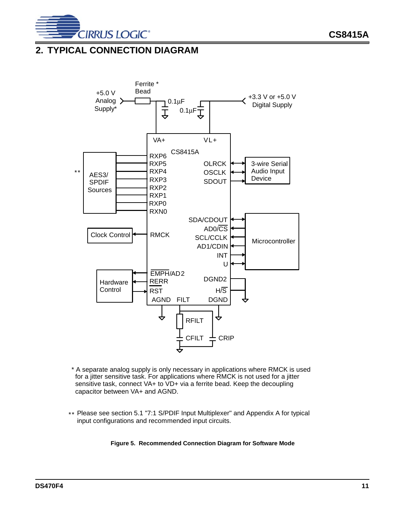

# **2. TYPICAL CONNECTION DIAGRAM**



- \* A separate analog supply is only necessary in applications where RMCK is used for a jitter sensitive task. For applications where RMCK is not used for a jitter sensitive task, connect VA+ to VD+ via a ferrite bead. Keep the decoupling capacitor between VA+ and AGND.
- <span id="page-10-0"></span>\*\* Please see section 5.1 "7:1 S/PDIF Input Multiplexer" and Appendix A for typical input configurations and recommended input circuits.

#### **Figure 5. Recommended Connection Diagram for Software Mode**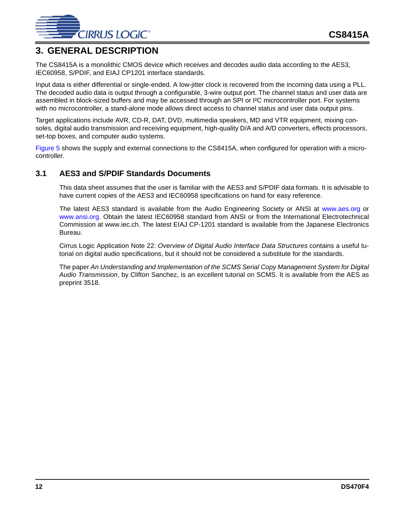

# **3. GENERAL DESCRIPTION**

The CS8415A is a monolithic CMOS device which receives and decodes audio data according to the AES3, IEC60958, S/PDIF, and EIAJ CP1201 interface standards.

Input data is either differential or single-ended. A low-jitter clock is recovered from the incoming data using a PLL. The decoded audio data is output through a configurable, 3-wire output port. The channel status and user data are assembled in block-sized buffers and may be accessed through an SPI or I²C microcontroller port. For systems with no microcontroller, a stand-alone mode allows direct access to channel status and user data output pins.

Target applications include AVR, CD-R, DAT, DVD, multimedia speakers, MD and VTR equipment, mixing consoles, digital audio transmission and receiving equipment, high-quality D/A and A/D converters, effects processors, set-top boxes, and computer audio systems.

[Figure 5](#page-10-0) shows the supply and external connections to the CS8415A, when configured for operation with a microcontroller.

## **3.1 AES3 and S/PDIF Standards Documents**

This data sheet assumes that the user is familiar with the AES3 and S/PDIF data formats. It is advisable to have current copies of the AES3 and IEC60958 specifications on hand for easy reference.

The latest AES3 standard is available from the Audio Engineering Society or ANSI at [www.aes.org](http://www.aes.org) or [www.ansi.org.](http://www.ansi.org) Obtain the latest IEC60958 standard from ANSI or from the International Electrotechnical Commission at www.iec.ch. The latest EIAJ CP-1201 standard is available from the Japanese Electronics Bureau.

Cirrus Logic Application Note 22: *Overview of Digital Audio Interface Data Structures* contains a useful tutorial on digital audio specifications, but it should not be considered a substitute for the standards.

The paper *An Understanding and Implementation of the SCMS Serial Copy Management System for Digital Audio Transmission*, by Clifton Sanchez, is an excellent tutorial on SCMS. It is available from the AES as preprint 3518.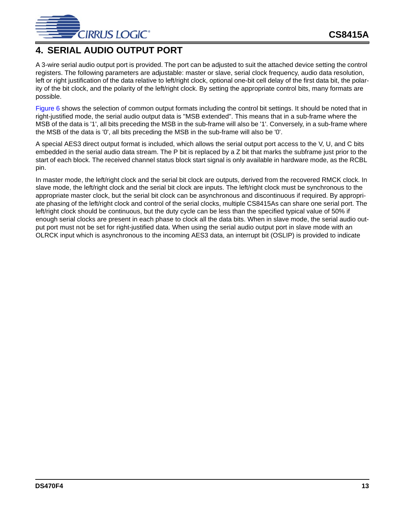

# **4. SERIAL AUDIO OUTPUT PORT**

A 3-wire serial audio output port is provided. The port can be adjusted to suit the attached device setting the control registers. The following parameters are adjustable: master or slave, serial clock frequency, audio data resolution, left or right justification of the data relative to left/right clock, optional one-bit cell delay of the first data bit, the polarity of the bit clock, and the polarity of the left/right clock. By setting the appropriate control bits, many formats are possible.

[Figure 6](#page-13-0) shows the selection of common output formats including the control bit settings. It should be noted that in right-justified mode, the serial audio output data is "MSB extended". This means that in a sub-frame where the MSB of the data is '1', all bits preceding the MSB in the sub-frame will also be '1'. Conversely, in a sub-frame where the MSB of the data is '0', all bits preceding the MSB in the sub-frame will also be '0'.

<span id="page-12-0"></span>A special AES3 direct output format is included, which allows the serial output port access to the V, U, and C bits embedded in the serial audio data stream. The P bit is replaced by a Z bit that marks the subframe just prior to the start of each block. The received channel status block start signal is only available in hardware mode, as the RCBL pin.

In master mode, the left/right clock and the serial bit clock are outputs, derived from the recovered RMCK clock. In slave mode, the left/right clock and the serial bit clock are inputs. The left/right clock must be synchronous to the appropriate master clock, but the serial bit clock can be asynchronous and discontinuous if required. By appropriate phasing of the left/right clock and control of the serial clocks, multiple CS8415As can share one serial port. The left/right clock should be continuous, but the duty cycle can be less than the specified typical value of 50% if enough serial clocks are present in each phase to clock all the data bits. When in slave mode, the serial audio output port must not be set for right-justified data. When using the serial audio output port in slave mode with an OLRCK input which is asynchronous to the incoming AES3 data, an interrupt bit (OSLIP) is provided to indicate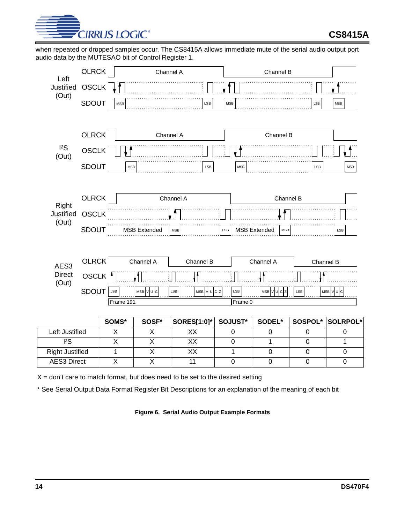

when repeated or dropped samples occur. The CS8415A allows immediate mute of the serial audio output port audio data by the MUTESAO bit of Control Register 1.



 $X =$  don't care to match format, but does need to be set to the desired setting

<span id="page-13-0"></span>\* See Serial Output Data Format Register Bit Descriptions for an explanation of the meaning of each bit

**Figure 6. Serial Audio Output Example Formats**

AES3 Direct | X | X | 11 | 0 | 0 | 0 | 0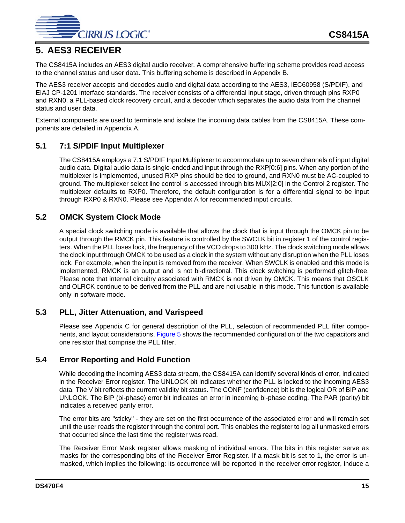

# **5. AES3 RECEIVER**

The CS8415A includes an AES3 digital audio receiver. A comprehensive buffering scheme provides read access to the channel status and user data. This buffering scheme is described in Appendix B.

The AES3 receiver accepts and decodes audio and digital data according to the AES3, IEC60958 (S/PDIF), and EIAJ CP-1201 interface standards. The receiver consists of a differential input stage, driven through pins RXP0 and RXN0, a PLL-based clock recovery circuit, and a decoder which separates the audio data from the channel status and user data.

External components are used to terminate and isolate the incoming data cables from the CS8415A. These components are detailed in Appendix A.

# **5.1 7:1 S/PDIF Input Multiplexer**

The CS8415A employs a 7:1 S/PDIF Input Multiplexer to accommodate up to seven channels of input digital audio data. Digital audio data is single-ended and input through the RXP[0:6] pins. When any portion of the multiplexer is implemented, unused RXP pins should be tied to ground, and RXN0 must be AC-coupled to ground. The multiplexer select line control is accessed through bits MUX[2:0] in the Control 2 register. The multiplexer defaults to RXP0. Therefore, the default configuration is for a differential signal to be input through RXP0 & RXN0. Please see Appendix A for recommended input circuits.

# **5.2 OMCK System Clock Mode**

A special clock switching mode is available that allows the clock that is input through the OMCK pin to be output through the RMCK pin. This feature is controlled by the SWCLK bit in register 1 of the control registers. When the PLL loses lock, the frequency of the VCO drops to 300 kHz. The clock switching mode allows the clock input through OMCK to be used as a clock in the system without any disruption when the PLL loses lock. For example, when the input is removed from the receiver. When SWCLK is enabled and this mode is implemented, RMCK is an output and is not bi-directional. This clock switching is performed glitch-free. Please note that internal circuitry associated with RMCK is not driven by OMCK. This means that OSCLK and OLRCK continue to be derived from the PLL and are not usable in this mode. This function is available only in software mode.

## **5.3 PLL, Jitter Attenuation, and Varispeed**

Please see Appendix C for general description of the PLL, selection of recommended PLL filter components, and layout considerations. [Figure 5](#page-10-0) shows the recommended configuration of the two capacitors and one resistor that comprise the PLL filter.

## **5.4 Error Reporting and Hold Function**

While decoding the incoming AES3 data stream, the CS8415A can identify several kinds of error, indicated in the Receiver Error register. The UNLOCK bit indicates whether the PLL is locked to the incoming AES3 data. The V bit reflects the current validity bit status. The CONF (confidence) bit is the logical OR of BIP and UNLOCK. The BIP (bi-phase) error bit indicates an error in incoming bi-phase coding. The PAR (parity) bit indicates a received parity error.

The error bits are "sticky" - they are set on the first occurrence of the associated error and will remain set until the user reads the register through the control port. This enables the register to log all unmasked errors that occurred since the last time the register was read.

The Receiver Error Mask register allows masking of individual errors. The bits in this register serve as masks for the corresponding bits of the Receiver Error Register. If a mask bit is set to 1, the error is unmasked, which implies the following: its occurrence will be reported in the receiver error register, induce a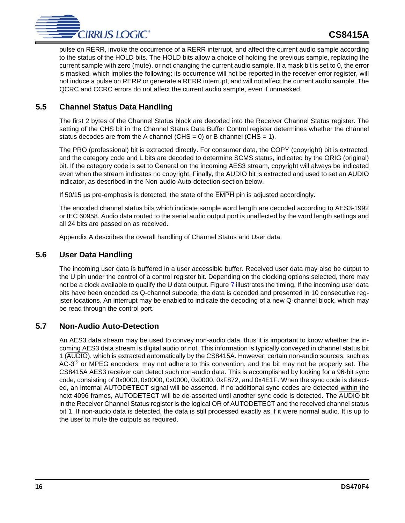

pulse on RERR, invoke the occurrence of a RERR interrupt, and affect the current audio sample according to the status of the HOLD bits. The HOLD bits allow a choice of holding the previous sample, replacing the current sample with zero (mute), or not changing the current audio sample. If a mask bit is set to 0, the error is masked, which implies the following: its occurrence will not be reported in the receiver error register, will not induce a pulse on RERR or generate a RERR interrupt, and will not affect the current audio sample. The QCRC and CCRC errors do not affect the current audio sample, even if unmasked.

# **5.5 Channel Status Data Handling**

The first 2 bytes of the Channel Status block are decoded into the Receiver Channel Status register. The setting of the CHS bit in the Channel Status Data Buffer Control register determines whether the channel status decodes are from the A channel (CHS = 0) or B channel (CHS = 1).

The PRO (professional) bit is extracted directly. For consumer data, the COPY (copyright) bit is extracted, and the category code and L bits are decoded to determine SCMS status, indicated by the ORIG (original) bit. If the category code is set to General on the incoming AES3 stream, copyright will always be indicated even when the stream indicates no copyright. Finally, the AUDIO bit is extracted and used to set an AUDIO indicator, as described in the Non-audio Auto-detection section below.

If 50/15 µs pre-emphasis is detected, the state of the EMPH pin is adjusted accordingly.

The encoded channel status bits which indicate sample word length are decoded according to AES3-1992 or IEC 60958. Audio data routed to the serial audio output port is unaffected by the word length settings and all 24 bits are passed on as received.

Appendix A describes the overall handling of Channel Status and User data.

# **5.6 User Data Handling**

The incoming user data is buffered in a user accessible buffer. Received user data may also be output to the U pin under the control of a control register bit. Depending on the clocking options selected, there may not be a clock available to qualify the U data output. Figure [7](#page-16-0) illustrates the timing. If the incoming user data bits have been encoded as Q-channel subcode, the data is decoded and presented in 10 consecutive register locations. An interrupt may be enabled to indicate the decoding of a new Q-channel block, which may be read through the control port.

## **5.7 Non-Audio Auto-Detection**

An AES3 data stream may be used to convey non-audio data, thus it is important to know whether the incoming AES3 data stream is digital audio or not. This information is typically conveyed in channel status bit 1 (AUDIO), which is extracted automatically by the CS8415A. However, certain non-audio sources, such as AC-3<sup>®</sup> or MPEG encoders, may not adhere to this convention, and the bit may not be properly set. The CS8415A AES3 receiver can detect such non-audio data. This is accomplished by looking for a 96-bit sync code, consisting of 0x0000, 0x0000, 0x0000, 0x0000, 0xF872, and 0x4E1F. When the sync code is detected, an internal AUTODETECT signal will be asserted. If no additional sync codes are detected within the next 4096 frames, AUTODETECT will be de-asserted until another sync code is detected. The AUDIO bit in the Receiver Channel Status register is the logical OR of AUTODETECT and the received channel status bit 1. If non-audio data is detected, the data is still processed exactly as if it were normal audio. It is up to the user to mute the outputs as required.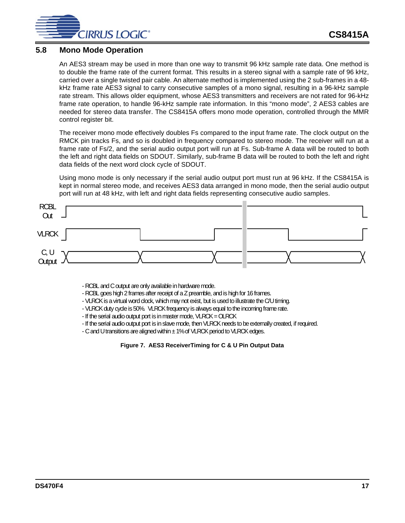

## **5.8 Mono Mode Operation**

An AES3 stream may be used in more than one way to transmit 96 kHz sample rate data. One method is to double the frame rate of the current format. This results in a stereo signal with a sample rate of 96 kHz, carried over a single twisted pair cable. An alternate method is implemented using the 2 sub-frames in a 48 kHz frame rate AES3 signal to carry consecutive samples of a mono signal, resulting in a 96-kHz sample rate stream. This allows older equipment, whose AES3 transmitters and receivers are not rated for 96-kHz frame rate operation, to handle 96-kHz sample rate information. In this "mono mode", 2 AES3 cables are needed for stereo data transfer. The CS8415A offers mono mode operation, controlled through the MMR control register bit.

The receiver mono mode effectively doubles Fs compared to the input frame rate. The clock output on the RMCK pin tracks Fs, and so is doubled in frequency compared to stereo mode. The receiver will run at a frame rate of Fs/2, and the serial audio output port will run at Fs. Sub-frame A data will be routed to both the left and right data fields on SDOUT. Similarly, sub-frame B data will be routed to both the left and right data fields of the next word clock cycle of SDOUT.

Using mono mode is only necessary if the serial audio output port must run at 96 kHz. If the CS8415A is kept in normal stereo mode, and receives AES3 data arranged in mono mode, then the serial audio output port will run at 48 kHz, with left and right data fields representing consecutive audio samples.



- RCBL and C output are only available in hardware mode.

- RCBL goes high 2 frames after receipt of a Z preamble, and is high for 16 frames.

- VLRCK is a virtual word clock, which may not exist, but is used to illustrate the C/U timing.
- VLRCK duty cycle is 50%. VLRCK frequency is always equal to the incoming frame rate.
- If the serial audio output port is in master mode, VLRCK = OLRCK
- If the serial audio output port is in slave mode, then VLRCK needs to be externally created, if required.
- <span id="page-16-0"></span>- C and U transitions are aligned within ± 1% of VLRCK period to VLRCK edges.

**Figure 7. AES3 ReceiverTiming for C & U Pin Output Data**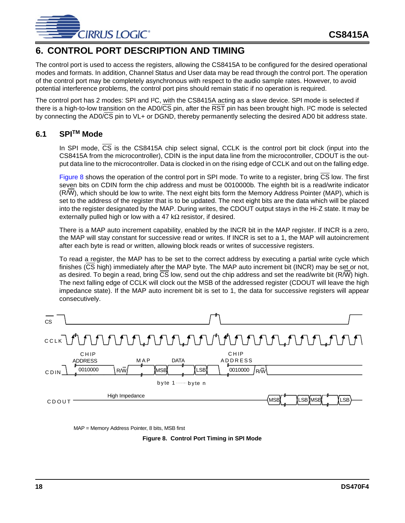

# **6. CONTROL PORT DESCRIPTION AND TIMING**

The control port is used to access the registers, allowing the CS8415A to be configured for the desired operational modes and formats. In addition, Channel Status and User data may be read through the control port. The operation of the control port may be completely asynchronous with respect to the audio sample rates. However, to avoid potential interference problems, the control port pins should remain static if no operation is required.

The control port has 2 modes: SPI and I²C, with the CS8415A acting as a slave device. SPI mode is selected if there is a high-to-low transition on the AD0/CS pin, after the RST pin has been brought high. I²C mode is selected by connecting the AD0/CS pin to VL+ or DGND, thereby permanently selecting the desired AD0 bit address state.

## **6.1 SPITM Mode**

In SPI mode, CS is the CS8415A chip select signal, CCLK is the control port bit clock (input into the CS8415A from the microcontroller), CDIN is the input data line from the microcontroller, CDOUT is the output data line to the microcontroller. Data is clocked in on the rising edge of CCLK and out on the falling edge.

[Figure 8](#page-17-0) shows the operation of the control port in SPI mode. To write to a register, bring CS low. The first seven bits on CDIN form the chip address and must be 0010000b. The eighth bit is a read/write indicator (R/W), which should be low to write. The next eight bits form the Memory Address Pointer (MAP), which is set to the address of the register that is to be updated. The next eight bits are the data which will be placed into the register designated by the MAP. During writes, the CDOUT output stays in the Hi-Z state. It may be externally pulled high or low with a 47 k $\Omega$  resistor, if desired.

There is a MAP auto increment capability, enabled by the INCR bit in the MAP register. If INCR is a zero, the MAP will stay constant for successive read or writes. If INCR is set to a 1, the MAP will autoincrement after each byte is read or written, allowing block reads or writes of successive registers.

To read a register, the MAP has to be set to the correct address by executing a partial write cycle which finishes (CS high) immediately after the MAP byte. The MAP auto increment bit (INCR) may be set or not, as desired. To begin a read, bring CS low, send out the chip address and set the read/write bit (R/W) high. The next falling edge of CCLK will clock out the MSB of the addressed register (CDOUT will leave the high impedance state). If the MAP auto increment bit is set to 1, the data for successive registers will appear consecutively.

| <b>CS</b> |                                                                                                                |                                           |  |
|-----------|----------------------------------------------------------------------------------------------------------------|-------------------------------------------|--|
|           |                                                                                                                |                                           |  |
| CDIN      | CHIP<br>MAP<br><b>DATA</b><br><b>ADDRESS</b><br>$R/\sqrt{W}$<br>0010000<br>LSB)<br>(MSB<br>byte $1$ --- byte n | CHIP<br><b>ADDRESS</b><br>0010000<br>/r/w |  |
| CDOUT     | High Impedance                                                                                                 | LSB<br>LSB MSB<br>(MSB                    |  |

<span id="page-17-0"></span>MAP = Memory Address Pointer, 8 bits, MSB first

**Figure 8. Control Port Timing in SPI Mode**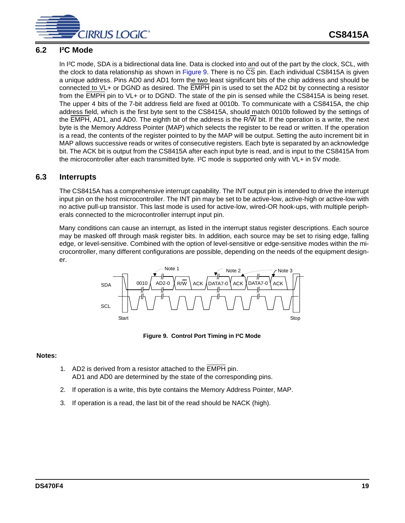

## **6.2 I²C Mode**

In I²C mode, SDA is a bidirectional data line. Data is clocked into and out of the part by the clock, SCL, with the clock to data relationship as shown in [Figure 9.](#page-18-0) There is no CS pin. Each individual CS8415A is given a unique address. Pins AD0 and AD1 form the two least significant bits of the chip address and should be connected to VL+ or DGND as desired. The EMPH pin is used to set the AD2 bit by connecting a resistor from the EMPH pin to VL+ or to DGND. The state of the pin is sensed while the CS8415A is being reset. The upper 4 bits of the 7-bit address field are fixed at 0010b. To communicate with a CS8415A, the chip address field, which is the first byte sent to the CS8415A, should match 0010b followed by the settings of the  $\overline{\text{EMPH}}$ , AD1, and AD0. The eighth bit of the address is the R/W bit. If the operation is a write, the next byte is the Memory Address Pointer (MAP) which selects the register to be read or written. If the operation is a read, the contents of the register pointed to by the MAP will be output. Setting the auto increment bit in MAP allows successive reads or writes of consecutive registers. Each byte is separated by an acknowledge bit. The ACK bit is output from the CS8415A after each input byte is read, and is input to the CS8415A from the microcontroller after each transmitted byte. I<sup>2</sup>C mode is supported only with VL+ in 5V mode.

## **6.3 Interrupts**

The CS8415A has a comprehensive interrupt capability. The INT output pin is intended to drive the interrupt input pin on the host microcontroller. The INT pin may be set to be active-low, active-high or active-low with no active pull-up transistor. This last mode is used for active-low, wired-OR hook-ups, with multiple peripherals connected to the microcontroller interrupt input pin.

Many conditions can cause an interrupt, as listed in the interrupt status register descriptions. Each source may be masked off through mask register bits. In addition, each source may be set to rising edge, falling edge, or level-sensitive. Combined with the option of level-sensitive or edge-sensitive modes within the microcontroller, many different configurations are possible, depending on the needs of the equipment designer.



**Figure 9. Control Port Timing in I²C Mode**

#### <span id="page-18-0"></span>**Notes:**

- 1. AD2 is derived from a resistor attached to the **EMPH** pin. AD1 and AD0 are determined by the state of the corresponding pins.
- 2. If operation is a write, this byte contains the Memory Address Pointer, MAP.
- 3. If operation is a read, the last bit of the read should be NACK (high).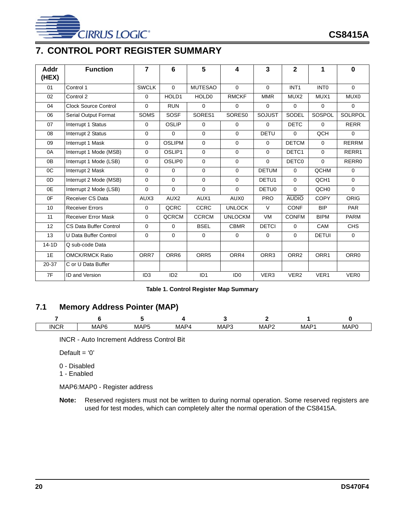

# **7. CONTROL PORT REGISTER SUMMARY**

| Addr<br>(HEX) | <b>Function</b>            | $\overline{7}$  | 6                | 5                 | 4               | $\overline{3}$   | $\overline{\mathbf{2}}$ | 1                | $\bf{0}$         |
|---------------|----------------------------|-----------------|------------------|-------------------|-----------------|------------------|-------------------------|------------------|------------------|
|               |                            |                 |                  |                   |                 |                  |                         |                  |                  |
| 01            | Control 1                  | <b>SWCLK</b>    | $\Omega$         | <b>MUTESAO</b>    | $\Omega$        | $\Omega$         | INT <sub>1</sub>        | <b>INTO</b>      | $\Omega$         |
| 02            | Control 2                  | $\Omega$        | HOLD1            | HOLD <sub>0</sub> | <b>RMCKF</b>    | <b>MMR</b>       | MUX <sub>2</sub>        | MUX1             | MUX0             |
| 04            | Clock Source Control       | $\Omega$        | <b>RUN</b>       | $\Omega$          | $\Omega$        | $\mathbf 0$      | 0                       | $\mathbf 0$      | 0                |
| 06            | Serial Output Format       | <b>SOMS</b>     | SOSF             | SORES1            | SORES0          | <b>SOJUST</b>    | SODEL                   | SOSPOL           | <b>SOLRPOL</b>   |
| 07            | Interrupt 1 Status         | $\Omega$        | <b>OSLIP</b>     | $\Omega$          | $\Omega$        | $\Omega$         | <b>DETC</b>             | $\Omega$         | <b>RERR</b>      |
| 08            | Interrupt 2 Status         | $\mathbf 0$     | $\Omega$         | $\mathbf 0$       | $\Omega$        | <b>DETU</b>      | 0                       | <b>QCH</b>       | 0                |
| 09            | Interrupt 1 Mask           | $\Omega$        | <b>OSLIPM</b>    | $\Omega$          | 0               | 0                | <b>DETCM</b>            | 0                | <b>RERRM</b>     |
| 0A            | Interrupt 1 Mode (MSB)     | $\Omega$        | OSLIP1           | $\Omega$          | $\Omega$        | $\Omega$         | DETC1                   | $\Omega$         | RERR1            |
| 0B            | Interrupt 1 Mode (LSB)     | $\Omega$        | <b>OSLIP0</b>    | $\Omega$          | 0               | $\Omega$         | <b>DETCO</b>            | $\Omega$         | RERR0            |
| OC            | Interrupt 2 Mask           | $\Omega$        | $\Omega$         | $\Omega$          | $\Omega$        | <b>DETUM</b>     | $\Omega$                | QCHM             | $\Omega$         |
| 0D            | Interrupt 2 Mode (MSB)     | $\mathbf 0$     | $\Omega$         | $\Omega$          | $\Omega$        | DETU1            | 0                       | QCH <sub>1</sub> | $\Omega$         |
| 0E            | Interrupt 2 Mode (LSB)     | $\Omega$        | $\Omega$         | $\Omega$          | $\Omega$        | <b>DETU0</b>     | 0                       | QCH <sub>0</sub> | $\Omega$         |
| 0F            | Receiver CS Data           | AUX3            | AUX <sub>2</sub> | AUX1              | AUX0            | <b>PRO</b>       | <b>AUDIO</b>            | <b>COPY</b>      | <b>ORIG</b>      |
| 10            | <b>Receiver Errors</b>     | $\mathbf 0$     | QCRC             | <b>CCRC</b>       | <b>UNLOCK</b>   | $\vee$           | <b>CONF</b>             | <b>BIP</b>       | <b>PAR</b>       |
| 11            | <b>Receiver Error Mask</b> | $\Omega$        | <b>QCRCM</b>     | <b>CCRCM</b>      | <b>UNLOCKM</b>  | <b>VM</b>        | <b>CONFM</b>            | <b>BIPM</b>      | <b>PARM</b>      |
| 12            | CS Data Buffer Control     | $\Omega$        | $\Omega$         | <b>BSEL</b>       | <b>CBMR</b>     | <b>DETCI</b>     | $\Omega$                | CAM              | CH <sub>S</sub>  |
| 13            | U Data Buffer Control      | $\Omega$        | $\Omega$         | $\Omega$          | $\Omega$        | $\Omega$         | 0                       | <b>DETUI</b>     | $\Omega$         |
| $14-1D$       | Q sub-code Data            |                 |                  |                   |                 |                  |                         |                  |                  |
| 1E            | <b>OMCK/RMCK Ratio</b>     | ORR7            | ORR6             | ORR <sub>5</sub>  | ORR4            | ORR3             | ORR <sub>2</sub>        | ORR1             | ORR <sub>0</sub> |
| 20-37         | C or U Data Buffer         |                 |                  |                   |                 |                  |                         |                  |                  |
| 7F            | <b>ID and Version</b>      | ID <sub>3</sub> | ID <sub>2</sub>  | ID <sub>1</sub>   | ID <sub>0</sub> | VER <sub>3</sub> | VER <sub>2</sub>        | VER1             | VER <sub>0</sub> |

#### **Table 1. Control Register Map Summary**

# <span id="page-19-0"></span>**7.1 Memory Address Pointer (MAP)**

| <b>INCF</b> | ە ھ<br>$\cdot$<br>MAF | <b>MAPF</b> | MAP4 | Dr.<br>MAF | $\cdot$<br>MAP | <b>MAP</b> | MAP <sup>r</sup> |
|-------------|-----------------------|-------------|------|------------|----------------|------------|------------------|

INCR - Auto Increment Address Control Bit

Default =  $'0'$ 

- 0 Disabled
- 1 Enabled

MAP6:MAP0 - Register address

**Note:** Reserved registers must not be written to during normal operation. Some reserved registers are used for test modes, which can completely alter the normal operation of the CS8415A.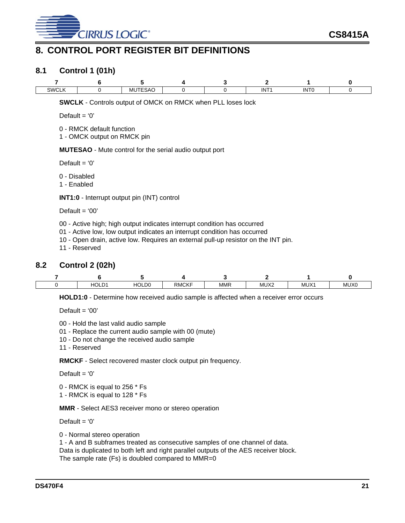

# <span id="page-20-0"></span>**8. CONTROL PORT REGISTER BIT DEFINITIONS**

## **8.1 Control 1 (01h)**

| SWCL <sup>1</sup><br>$  -$ | <b>MUTESAC</b><br>______ |  | --<br>IN. | .<br>INF |  |
|----------------------------|--------------------------|--|-----------|----------|--|

**SWCLK** - Controls output of OMCK on RMCK when PLL loses lock

Default =  $'0'$ 

0 - RMCK default function

1 - OMCK output on RMCK pin

**MUTESAO** - Mute control for the serial audio output port

Default =  $'0'$ 

0 - Disabled

1 - Enabled

**INT1:0** - Interrupt output pin (INT) control

Default  $= '00'$ 

- 00 Active high; high output indicates interrupt condition has occurred
- 01 Active low, low output indicates an interrupt condition has occurred
- 10 Open drain, active low. Requires an external pull-up resistor on the INT pin.
- 11 Reserved

## **8.2 Control 2 (02h)**

 $\overline{\mathsf{I}}$ 

| n.<br>HO'<br>∽ | <b>IOLD0</b> | <b>RMCKF</b> | <b>MMR</b> | MUX2<br>_______ | MUX <sup>-</sup><br>______ | MUX0 |
|----------------|--------------|--------------|------------|-----------------|----------------------------|------|

**HOLD1:0** - Determine how received audio sample is affected when a receiver error occurs

Default  $= '00'$ 

00 - Hold the last valid audio sample

01 - Replace the current audio sample with 00 (mute)

10 - Do not change the received audio sample

11 - Reserved

**RMCKF** - Select recovered master clock output pin frequency.

Default =  $'0'$ 

0 - RMCK is equal to 256 \* Fs

1 - RMCK is equal to 128 \* Fs

**MMR** - Select AES3 receiver mono or stereo operation

Default =  $'0'$ 

0 - Normal stereo operation

1 - A and B subframes treated as consecutive samples of one channel of data. Data is duplicated to both left and right parallel outputs of the AES receiver block. The sample rate (Fs) is doubled compared to MMR=0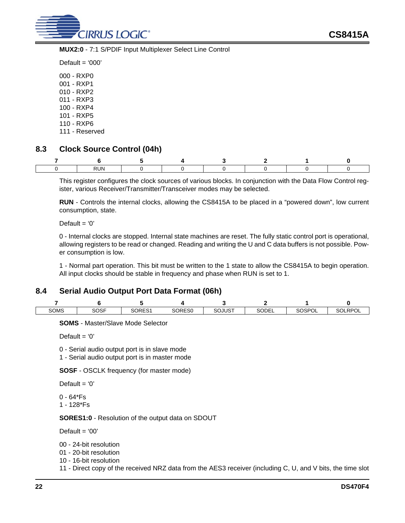

**MUX2:0** - 7:1 S/PDIF Input Multiplexer Select Line Control

Default  $=$  '000'

000 - RXP0 001 - RXP1 010 - RXP2 011 - RXP3 100 - RXP4 101 - RXP5 110 - RXP6

111 - Reserved

# <span id="page-21-0"></span>**8.3 Clock Source Control (04h)**

| <b>RUN</b><br>$\cdot\cdot\cdot$ |  |  |  |
|---------------------------------|--|--|--|

This register configures the clock sources of various blocks. In conjunction with the Data Flow Control register, various Receiver/Transmitter/Transceiver modes may be selected.

**RUN** - Controls the internal clocks, allowing the CS8415A to be placed in a "powered down", low current consumption, state.

Default  $= '0'$ 

0 - Internal clocks are stopped. Internal state machines are reset. The fully static control port is operational, allowing registers to be read or changed. Reading and writing the U and C data buffers is not possible. Power consumption is low.

1 - Normal part operation. This bit must be written to the 1 state to allow the CS8415A to begin operation. All input clocks should be stable in frequency and phase when RUN is set to 1.

## **8.4 Serial Audio Output Port Data Format (06h)**

| SOMS | SOSF | SORES1 | SORES0 | <b>SOJUST</b> | SODEL | SOSPOL | <b>RPOL</b><br>SOL |
|------|------|--------|--------|---------------|-------|--------|--------------------|

**SOMS** - Master/Slave Mode Selector

Default  $= '0'$ 

0 - Serial audio output port is in slave mode

1 - Serial audio output port is in master mode

**SOSF** - OSCLK frequency (for master mode)

Default  $= '0'$ 

0 - 64\*Fs 1 - 128\*Fs

**SORES1:0** - Resolution of the output data on SDOUT

Default  $= '00'$ 

00 - 24-bit resolution

01 - 20-bit resolution

10 - 16-bit resolution

11 - Direct copy of the received NRZ data from the AES3 receiver (including C, U, and V bits, the time slot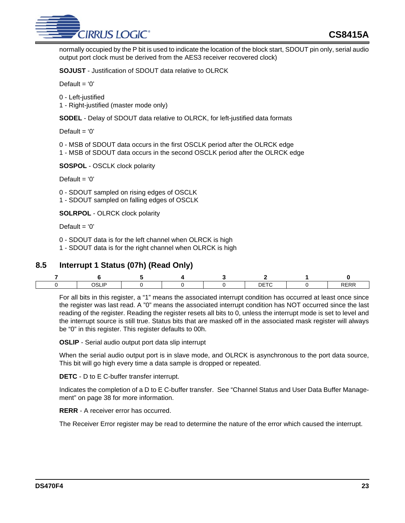

normally occupied by the P bit is used to indicate the location of the block start, SDOUT pin only, serial audio output port clock must be derived from the AES3 receiver recovered clock)

**SOJUST** - Justification of SDOUT data relative to OLRCK

Default =  $'0'$ 

- 0 Left-justified
- 1 Right-justified (master mode only)

**SODEL** - Delay of SDOUT data relative to OLRCK, for left-justified data formats

Default =  $'0'$ 

- 0 MSB of SDOUT data occurs in the first OSCLK period after the OLRCK edge
- 1 MSB of SDOUT data occurs in the second OSCLK period after the OLRCK edge

**SOSPOL** - OSCLK clock polarity

Default =  $'0'$ 

0 - SDOUT sampled on rising edges of OSCLK

1 - SDOUT sampled on falling edges of OSCLK

**SOLRPOL** - OLRCK clock polarity

Default =  $'0'$ 

- 0 SDOUT data is for the left channel when OLRCK is high
- 1 SDOUT data is for the right channel when OLRCK is high

# **8.5 Interrupt 1 Status (07h) (Read Only)**

| ПD<br>ารเ<br>----- |  | ____<br>___ |  |
|--------------------|--|-------------|--|

For all bits in this register, a "1" means the associated interrupt condition has occurred at least once since the register was last read. A "0" means the associated interrupt condition has NOT occurred since the last reading of the register. Reading the register resets all bits to 0, unless the interrupt mode is set to level and the interrupt source is still true. Status bits that are masked off in the associated mask register will always be "0" in this register. This register defaults to 00h.

**OSLIP** - Serial audio output port data slip interrupt

When the serial audio output port is in slave mode, and OLRCK is asynchronous to the port data source, This bit will go high every time a data sample is dropped or repeated.

**DETC** - D to E C-buffer transfer interrupt.

Indicates the completion of a D to E C-buffer transfer. See "Channel Status and User Data Buffer Management" on page 38 for more information.

**RERR** - A receiver error has occurred.

The Receiver Error register may be read to determine the nature of the error which caused the interrupt.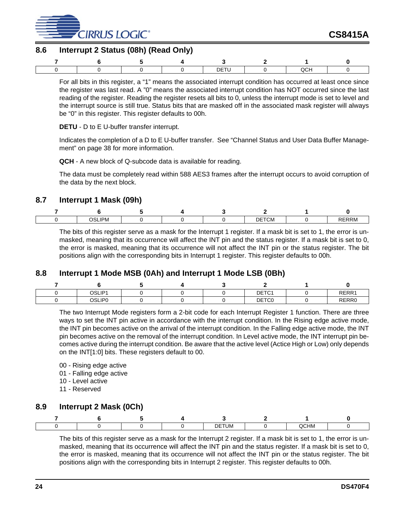

# **8.6 Interrupt 2 Status (08h) (Read Only)**

|  |  | <b>DETI</b> |  |  |
|--|--|-------------|--|--|

For all bits in this register, a "1" means the associated interrupt condition has occurred at least once since the register was last read. A "0" means the associated interrupt condition has NOT occurred since the last reading of the register. Reading the register resets all bits to 0, unless the interrupt mode is set to level and the interrupt source is still true. Status bits that are masked off in the associated mask register will always be "0" in this register. This register defaults to 00h.

#### <span id="page-23-0"></span>**DETU** - D to E U-buffer transfer interrupt.

Indicates the completion of a D to E U-buffer transfer. See "Channel Status and User Data Buffer Management" on page 38 for more information.

**QCH** - A new block of Q-subcode data is available for reading.

The data must be completely read within 588 AES3 frames after the interrupt occurs to avoid corruption of the data by the next block.

## **8.7 Interrupt 1 Mask (09h)**

| $\sim$ $ \sim$ $\sim$<br>_IPM_<br>৲ເ<br>. . |  | <b>DETCM</b> | ′KM ⊺ |
|---------------------------------------------|--|--------------|-------|

The bits of this register serve as a mask for the Interrupt 1 register. If a mask bit is set to 1, the error is unmasked, meaning that its occurrence will affect the INT pin and the status register. If a mask bit is set to 0, the error is masked, meaning that its occurrence will not affect the INT pin or the status register. The bit positions align with the corresponding bits in Interrupt 1 register. This register defaults to 00h.

## **8.8 Interrupt 1 Mode MSB (0Ah) and Interrupt 1 Mode LSB (0Bh)**

| OSLIP1 |  | DETC1 | RERR1 |
|--------|--|-------|-------|
| OSLIP0 |  | DETC0 | RERR0 |

The two Interrupt Mode registers form a 2-bit code for each Interrupt Register 1 function. There are three ways to set the INT pin active in accordance with the interrupt condition. In the Rising edge active mode, the INT pin becomes active on the arrival of the interrupt condition. In the Falling edge active mode, the INT pin becomes active on the removal of the interrupt condition. In Level active mode, the INT interrupt pin becomes active during the interrupt condition. Be aware that the active level (Actice High or Low) only depends on the INT[1:0] bits. These registers default to 00.

- 00 Rising edge active
- 01 Falling edge active
- 10 Level active
- 11 Reserved

## **8.9 Interrupt 2 Mask (0Ch)**

|  |  | <b>DETUM</b> | QCHM |  |
|--|--|--------------|------|--|

The bits of this register serve as a mask for the Interrupt 2 register. If a mask bit is set to 1, the error is unmasked, meaning that its occurrence will affect the INT pin and the status register. If a mask bit is set to 0, the error is masked, meaning that its occurrence will not affect the INT pin or the status register. The bit positions align with the corresponding bits in Interrupt 2 register. This register defaults to 00h.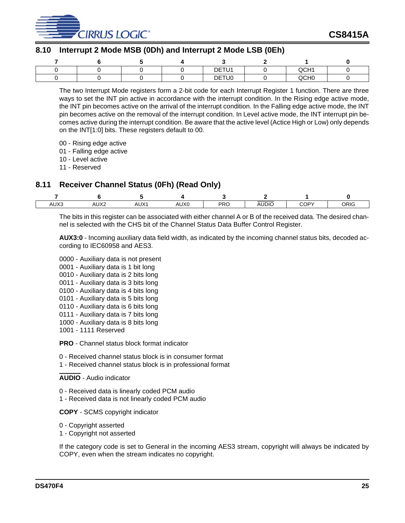

# **8.10 Interrupt 2 Mode MSB (0Dh) and Interrupt 2 Mode LSB (0Eh)**

|  |  | DETU1 | QCH1             |  |
|--|--|-------|------------------|--|
|  |  | DETU0 | QCH <sub>0</sub> |  |

The two Interrupt Mode registers form a 2-bit code for each Interrupt Register 1 function. There are three ways to set the INT pin active in accordance with the interrupt condition. In the Rising edge active mode, the INT pin becomes active on the arrival of the interrupt condition. In the Falling edge active mode, the INT pin becomes active on the removal of the interrupt condition. In Level active mode, the INT interrupt pin becomes active during the interrupt condition. Be aware that the active level (Actice High or Low) only depends on the INT[1:0] bits. These registers default to 00.

- 00 Rising edge active
- 01 Falling edge active
- 10 Level active
- 11 Reserved

# **8.11 Receiver Channel Status (0Fh) (Read Only)**

| AUX3 | AUX <sub>2</sub> | AUX <sub>1</sub> | AUX0 | PRC | <b>AUDIO</b> | COPY | ORIG |
|------|------------------|------------------|------|-----|--------------|------|------|

The bits in this register can be associated with either channel A or B of the received data. The desired channel is selected with the CHS bit of the Channel Status Data Buffer Control Register.

**AUX3:0** - Incoming auxiliary data field width, as indicated by the incoming channel status bits, decoded according to IEC60958 and AES3.

- 0000 Auxiliary data is not present 0001 - Auxiliary data is 1 bit long 0010 - Auxiliary data is 2 bits long 0011 - Auxiliary data is 3 bits long 0100 - Auxiliary data is 4 bits long 0101 - Auxiliary data is 5 bits long 0110 - Auxiliary data is 6 bits long 0111 - Auxiliary data is 7 bits long 1000 - Auxiliary data is 8 bits long 1001 - 1111 Reserved **PRO** - Channel status block format indicator
- 0 Received channel status block is in consumer format
- 1 Received channel status block is in professional format

#### **AUDIO** - Audio indicator

- 0 Received data is linearly coded PCM audio
- 1 Received data is not linearly coded PCM audio

#### **COPY** - SCMS copyright indicator

- 0 Copyright asserted
- 1 Copyright not asserted

If the category code is set to General in the incoming AES3 stream, copyright will always be indicated by COPY, even when the stream indicates no copyright.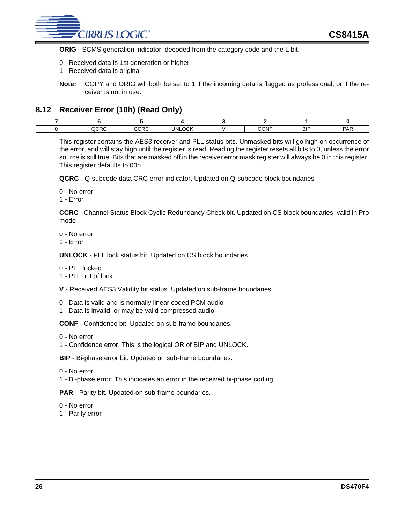

**ORIG** - SCMS generation indicator, decoded from the category code and the L bit.

- 0 Received data is 1st generation or higher
- 1 Received data is original
- **Note:** COPY and ORIG will both be set to 1 if the incoming data is flagged as professional, or if the receiver is not in use.

## **8.12 Receiver Error (10h) (Read Only)**

| QCRC | $\sim$<br>しべし | <b>UNLOCK</b> | CONF | <b>BIF</b> | <b>PAR</b> |
|------|---------------|---------------|------|------------|------------|

This register contains the AES3 receiver and PLL status bits. Unmasked bits will go high on occurrence of the error, and will stay high until the register is read. Reading the register resets all bits to 0, unless the error source is still true. Bits that are masked off in the receiver error mask register will always be 0 in this register. This register defaults to 00h.

**QCRC** - Q-subcode data CRC error indicator. Updated on Q-subcode block boundaries

0 - No error

1 - Error

**CCRC** - Channel Status Block Cyclic Redundancy Check bit. Updated on CS block boundaries, valid in Pro mode

0 - No error

1 - Error

**UNLOCK** - PLL lock status bit. Updated on CS block boundaries.

- 0 PLL locked
- 1 PLL out of lock
- **V** Received AES3 Validity bit status. Updated on sub-frame boundaries.
- 0 Data is valid and is normally linear coded PCM audio
- 1 Data is invalid, or may be valid compressed audio

**CONF** - Confidence bit. Updated on sub-frame boundaries.

0 - No error

1 - Confidence error. This is the logical OR of BIP and UNLOCK.

**BIP** - Bi-phase error bit. Updated on sub-frame boundaries.

- 0 No error
- 1 Bi-phase error. This indicates an error in the received bi-phase coding.

**PAR** - Parity bit. Updated on sub-frame boundaries.

0 - No error

1 - Parity error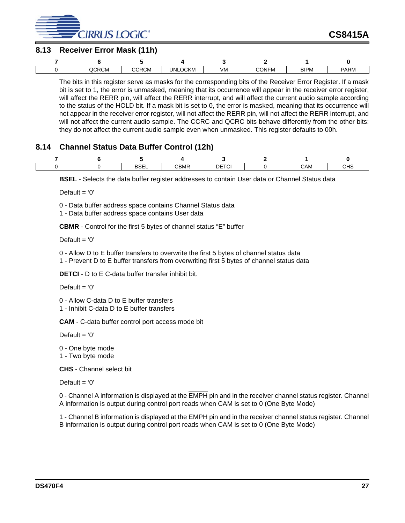

# **8.13 Receiver Error Mask (11h)**

| QCRCM | CCRCM | <b>UNLOCKM</b> | VM | <b>CONFM</b> | <b>BIPM</b> | <b>PARM</b> |
|-------|-------|----------------|----|--------------|-------------|-------------|

The bits in this register serve as masks for the corresponding bits of the Receiver Error Register. If a mask bit is set to 1, the error is unmasked, meaning that its occurrence will appear in the receiver error register, will affect the RERR pin, will affect the RERR interrupt, and will affect the current audio sample according to the status of the HOLD bit. If a mask bit is set to 0, the error is masked, meaning that its occurrence will not appear in the receiver error register, will not affect the RERR pin, will not affect the RERR interrupt, and will not affect the current audio sample. The CCRC and QCRC bits behave differently from the other bits: they do not affect the current audio sample even when unmasked. This register defaults to 00h.

# **8.14 Channel Status Data Buffer Control (12h)**

|  | <b>DOF</b><br>BSEL | CBMR | <b>DETCI</b> | CAM | CHS |
|--|--------------------|------|--------------|-----|-----|

**BSEL** - Selects the data buffer register addresses to contain User data or Channel Status data

Default =  $'0'$ 

0 - Data buffer address space contains Channel Status data

1 - Data buffer address space contains User data

**CBMR** - Control for the first 5 bytes of channel status "E" buffer

Default =  $'0'$ 

- 0 Allow D to E buffer transfers to overwrite the first 5 bytes of channel status data
- 1 Prevent D to E buffer transfers from overwriting first 5 bytes of channel status data

<span id="page-26-0"></span>**DETCI** - D to E C-data buffer transfer inhibit bit.

Default =  $'0'$ 

0 - Allow C-data D to E buffer transfers

1 - Inhibit C-data D to E buffer transfers

**CAM** - C-data buffer control port access mode bit

Default =  $'0'$ 

0 - One byte mode

1 - Two byte mode

**CHS** - Channel select bit

Default =  $'0'$ 

0 - Channel A information is displayed at the EMPH pin and in the receiver channel status register. Channel A information is output during control port reads when CAM is set to 0 (One Byte Mode)

1 - Channel B information is displayed at the EMPH pin and in the receiver channel status register. Channel B information is output during control port reads when CAM is set to 0 (One Byte Mode)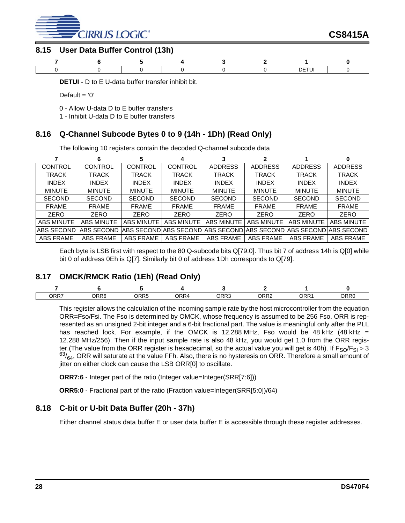

# **8.15 User Data Buffer Control (13h)**



**DETUI** - D to E U-data buffer transfer inhibit bit.

Default =  $'0'$ 

- 0 Allow U-data D to E buffer transfers
- 1 Inhibit U-data D to E buffer transfers

# **8.16 Q-Channel Subcode Bytes 0 to 9 (14h - 1Dh) (Read Only)**

The following 10 registers contain the decoded Q-channel subcode data

| CONTROL           | <b>CONTROL</b>    | <b>CONTROL</b>    | <b>CONTROL</b>    | <b>ADDRESS</b>                     | <b>ADDRESS</b>    | <b>ADDRESS</b>    | <b>ADDRESS</b>          |
|-------------------|-------------------|-------------------|-------------------|------------------------------------|-------------------|-------------------|-------------------------|
| <b>TRACK</b>      | TRACK             | <b>TRACK</b>      | <b>TRACK</b>      | TRACK                              | TRACK             | <b>TRACK</b>      | <b>TRACK</b>            |
| <b>INDEX</b>      | <b>INDEX</b>      | <b>INDEX</b>      | <b>INDEX</b>      | <b>INDEX</b>                       | <b>INDEX</b>      | <b>INDEX</b>      | <b>INDEX</b>            |
| <b>MINUTE</b>     | <b>MINUTE</b>     | <b>MINUTE</b>     | <b>MINUTE</b>     | <b>MINUTE</b>                      | <b>MINUTE</b>     | <b>MINUTE</b>     | <b>MINUTE</b>           |
| <b>SECOND</b>     | <b>SECOND</b>     | <b>SECOND</b>     | <b>SECOND</b>     | <b>SECOND</b>                      | <b>SECOND</b>     | <b>SECOND</b>     | <b>SECOND</b>           |
| <b>FRAME</b>      | <b>FRAME</b>      | <b>FRAME</b>      | <b>FRAME</b>      | <b>FRAME</b>                       | <b>FRAME</b>      | <b>FRAME</b>      | <b>FRAME</b>            |
| ZERO              | <b>ZERO</b>       | <b>ZERO</b>       | <b>ZERO</b>       | <b>ZERO</b>                        | ZERO              | <b>ZERO</b>       | ZERO                    |
| <b>ABS MINUTE</b> | <b>ABS MINUTE</b> | <b>ABS MINUTE</b> | <b>ABS MINUTE</b> | <b>ABS MINUTE</b>                  | <b>ABS MINUTE</b> | <b>ABS MINUTE</b> | <b>ABS MINUTE</b>       |
| IABS SECOND       | <b>ABS SECOND</b> |                   |                   | IABS SECONDIABS SECONDIABS SECONDI | ABS SECOND        |                   | IABS SECONDIABS SECONDI |
| ABS FRAME         | <b>ABS FRAME</b>  | ABS FRAME         | ABS FRAME         | ABS FRAME                          | ABS FRAME         | ABS FRAME         | ABS FRAME               |

Each byte is LSB first with respect to the 80 Q-subcode bits Q[79:0]. Thus bit 7 of address 14h is Q[0] while bit 0 of address 0Eh is Q[7]. Similarly bit 0 of address 1Dh corresponds to Q[79].

# **8.17 OMCK/RMCK Ratio (1Eh) (Read Only)**

| <b>ORR7</b> | ORR6 | ORR5 | <b>ORR4</b> | ORR3 | מחחם<br>៶៲៶∠ | . <b>AND</b> | ORR0 |
|-------------|------|------|-------------|------|--------------|--------------|------|

This register allows the calculation of the incoming sample rate by the host microcontroller from the equation ORR=Fso/Fsi. The Fso is determined by OMCK, whose frequency is assumed to be 256 Fso. ORR is represented as an unsigned 2-bit integer and a 6-bit fractional part. The value is meaningful only after the PLL has reached lock. For example, if the OMCK is 12.288 MHz, Fso would be 48 kHz  $(48 \text{ kHz})$ 12.288 MHz/256). Then if the input sample rate is also 48 kHz, you would get 1.0 from the ORR register.(The value from the ORR register is hexadecimal, so the actual value you will get is 40h). If  $F_{SO}/F_{SI} > 3$  ${}^{63}$ / $_{64}$ , ORR will saturate at the value FFh. Also, there is no hysteresis on ORR. Therefore a small amount of jitter on either clock can cause the LSB ORR[0] to oscillate.

**ORR7:6** - Integer part of the ratio (Integer value=Integer(SRR[7:6]))

**ORR5:0** - Fractional part of the ratio (Fraction value=Integer(SRR[5:0])/64)

# **8.18 C-bit or U-bit Data Buffer (20h - 37h)**

Either channel status data buffer E or user data buffer E is accessible through these register addresses.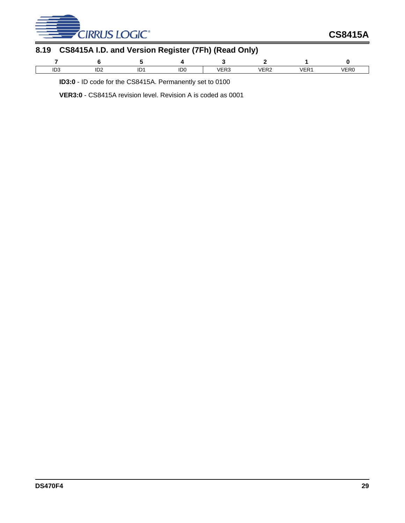

| 8.19 CS8415A I.D. and Version Register (7Fh) (Read Only) |  |
|----------------------------------------------------------|--|
|                                                          |  |

| ירי<br>ت∪ا | ּירו<br>∠שו | ID <sub>0</sub> | IEDC<br>7 E N J<br>$\sim$ $\sim$ $\sim$ $\sim$ $\sim$ $\sim$ | /CD<br>∕ ⊏rΩ | $\overline{\phantom{a}}$ | /ER <sub>C</sub> |
|------------|-------------|-----------------|--------------------------------------------------------------|--------------|--------------------------|------------------|

**ID3:0** - ID code for the CS8415A. Permanently set to 0100

**VER3:0** - CS8415A revision level. Revision A is coded as 0001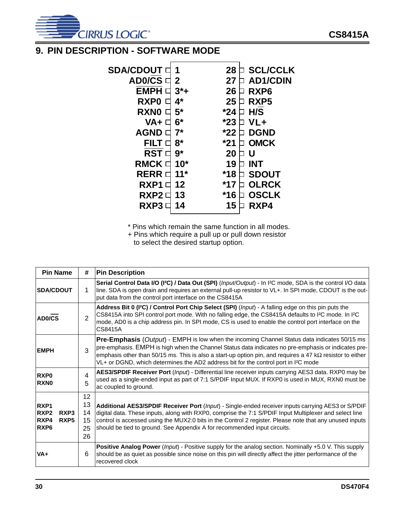

# **9. PIN DESCRIPTION - SOFTWARE MODE**

| <b>SDA/CDOUT</b>        | 1      | 28    | <b>SCL/CCLK</b>  |
|-------------------------|--------|-------|------------------|
| <b>AD0/CS</b>           | 2      | 27    | <b>AD1/CDIN</b>  |
| <b>EMPH</b>             | $3^*+$ | 26    | RXP <sub>6</sub> |
| RXP <sub>0</sub>        | 4*     | 25    | RXP <sub>5</sub> |
| <b>RXNO</b>             | $5*$   | *24   | H/S              |
| VA+                     | 6*     | $*23$ | VL+              |
| <b>AGND</b>             | 7*     | *22   | <b>DGND</b>      |
| <b>FILT</b>             | 8*     | *21   | <b>OMCK</b>      |
| <b>RST</b> <sub>C</sub> | $9*$   | 20    | U                |
| <b>RMCK</b>             | $10*$  | 19    | <b>INT</b>       |
| <b>RERR</b>             | $11*$  | *18   | <b>SDOUT</b>     |
| RXP1                    | 12     | *17   | <b>OLRCK</b>     |
| RXP2                    | 13     | *16   | <b>OSCLK</b>     |
| RXP3                    | 14     | 15    | RXP4             |
|                         |        |       |                  |

\* Pins which remain the same function in all modes.

+ Pins which require a pull up or pull down resistor to select the desired startup option.

| <b>Pin Name</b>                                                                                                                                                                                                                                                                                                                                                                                                                                        | #                                                                                                                                                                                                                                                                                                                                                                  | <b>Pin Description</b>                                                                                                                                                                                                                                                                                                                                                                              |  |  |  |
|--------------------------------------------------------------------------------------------------------------------------------------------------------------------------------------------------------------------------------------------------------------------------------------------------------------------------------------------------------------------------------------------------------------------------------------------------------|--------------------------------------------------------------------------------------------------------------------------------------------------------------------------------------------------------------------------------------------------------------------------------------------------------------------------------------------------------------------|-----------------------------------------------------------------------------------------------------------------------------------------------------------------------------------------------------------------------------------------------------------------------------------------------------------------------------------------------------------------------------------------------------|--|--|--|
| <b>SDA/CDOUT</b>                                                                                                                                                                                                                                                                                                                                                                                                                                       | 1                                                                                                                                                                                                                                                                                                                                                                  | Serial Control Data I/O (I <sup>2</sup> C) / Data Out (SPI) ( <i>Input/Output</i> ) - In I <sup>2</sup> C mode, SDA is the control I/O data<br>line. SDA is open drain and requires an external pull-up resistor to VL+. In SPI mode, CDOUT is the out-<br>put data from the control port interface on the CS8415A                                                                                  |  |  |  |
| AD0/CS                                                                                                                                                                                                                                                                                                                                                                                                                                                 | Address Bit 0 (I <sup>2</sup> C) / Control Port Chip Select (SPI) (Input) - A falling edge on this pin puts the<br>CS8415A into SPI control port mode. With no falling edge, the CS8415A defaults to I <sup>2</sup> C mode. In I <sup>2</sup> C<br>mode, AD0 is a chip address pin. In SPI mode, CS is used to enable the control port interface on the<br>CS8415A |                                                                                                                                                                                                                                                                                                                                                                                                     |  |  |  |
| <b>Pre-Emphasis</b> (Output) - EMPH is low when the incoming Channel Status data indicates 50/15 ms<br>pre-emphasis. EMPH is high when the Channel Status data indicates no pre-emphasis or indicates pre-<br>3<br><b>EMPH</b><br>emphasis other than 50/15 ms. This is also a start-up option pin, and requires a 47 k $\Omega$ resistor to either<br>VL+ or DGND, which determines the AD2 address bit for the control port in I <sup>2</sup> C mode |                                                                                                                                                                                                                                                                                                                                                                    |                                                                                                                                                                                                                                                                                                                                                                                                     |  |  |  |
| RXP <sub>0</sub><br><b>RXNO</b>                                                                                                                                                                                                                                                                                                                                                                                                                        | 4<br>5                                                                                                                                                                                                                                                                                                                                                             | AES3/SPDIF Receiver Port (Input) - Differential line receiver inputs carrying AES3 data. RXP0 may be<br>used as a single-ended input as part of 7:1 S/PDIF Input MUX. If RXP0 is used in MUX, RXN0 must be<br>ac coupled to ground.                                                                                                                                                                 |  |  |  |
| RXP1<br>RXP <sub>2</sub><br>RXP3<br>RXP4<br>RXP <sub>5</sub><br>RXP <sub>6</sub>                                                                                                                                                                                                                                                                                                                                                                       | 12 <sup>2</sup><br>13<br>14<br>15<br>25<br>26                                                                                                                                                                                                                                                                                                                      | Additional AES3/SPDIF Receiver Port (Input) - Single-ended receiver inputs carrying AES3 or S/PDIF<br>digital data. These inputs, along with RXP0, comprise the 7:1 S/PDIF Input Multiplexer and select line<br>control is accessed using the MUX2:0 bits in the Control 2 register. Please note that any unused inputs<br>should be tied to ground. See Appendix A for recommended input circuits. |  |  |  |
| VA+                                                                                                                                                                                                                                                                                                                                                                                                                                                    | 6                                                                                                                                                                                                                                                                                                                                                                  | <b>Positive Analog Power</b> ( <i>lnput</i> ) - Positive supply for the analog section. Nominally +5.0 V. This supply<br>should be as quiet as possible since noise on this pin will directly affect the jitter performance of the<br>recovered clock                                                                                                                                               |  |  |  |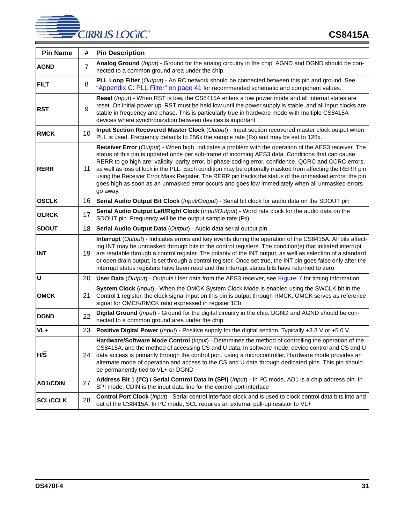# **CIRRUS LOGIC®**

| <b>Pin Name</b> | #              | <b>Pin Description</b>                                                                                                                                                                                                                                                                                                                                                                                                                                                                                                                                                                                                                                  |  |  |  |  |
|-----------------|----------------|---------------------------------------------------------------------------------------------------------------------------------------------------------------------------------------------------------------------------------------------------------------------------------------------------------------------------------------------------------------------------------------------------------------------------------------------------------------------------------------------------------------------------------------------------------------------------------------------------------------------------------------------------------|--|--|--|--|
| <b>AGND</b>     | $\overline{7}$ | Analog Ground (Input) - Ground for the analog circuitry in the chip. AGND and DGND should be con-<br>nected to a common ground area under the chip.                                                                                                                                                                                                                                                                                                                                                                                                                                                                                                     |  |  |  |  |
| <b>FILT</b>     | 8              | PLL Loop Filter (Output) - An RC network should be connected between this pin and ground. See<br>"Appendix C: PLL Filter" on page 41 for recommended schematic and component values.                                                                                                                                                                                                                                                                                                                                                                                                                                                                    |  |  |  |  |
| <b>RST</b>      | 9              | Reset (Input) - When RST is low, the CS8415A enters a low power mode and all internal states are<br>reset. On initial power up, RST must be held low until the power supply is stable, and all input clocks are<br>stable in frequency and phase. This is particularly true in hardware mode with multiple CS8415A<br>devices where synchronization between devices is important                                                                                                                                                                                                                                                                        |  |  |  |  |
| <b>RMCK</b>     | 10             | Input Section Recovered Master Clock (Output) - Input section recovered master clock output when<br>PLL is used. Frequency defaults to 256x the sample rate (Fs) and may be set to 128x.                                                                                                                                                                                                                                                                                                                                                                                                                                                                |  |  |  |  |
| <b>RERR</b>     | 11             | Receiver Error (Output) - When high, indicates a problem with the operation of the AES3 receiver. The<br>status of this pin is updated once per sub-frame of incoming AES3 data. Conditions that can cause<br>RERR to go high are: validity, parity error, bi-phase coding error, confidence, QCRC and CCRC errors,<br>as well as loss of lock in the PLL. Each condition may be optionally masked from affecting the RERR pin<br>using the Receiver Error Mask Register. The RERR pin tracks the status of the unmasked errors: the pin<br>goes high as soon as an unmasked error occurs and goes low immediately when all unmasked errors<br>go away. |  |  |  |  |
| <b>OSCLK</b>    | 16             | Serial Audio Output Bit Clock (Input/Output) - Serial bit clock for audio data on the SDOUT pin                                                                                                                                                                                                                                                                                                                                                                                                                                                                                                                                                         |  |  |  |  |
| <b>OLRCK</b>    | 17             | Serial Audio Output Left/Right Clock (Input/Output) - Word rate clock for the audio data on the<br>SDOUT pin. Frequency will be the output sample rate (Fs)                                                                                                                                                                                                                                                                                                                                                                                                                                                                                             |  |  |  |  |
| <b>SDOUT</b>    | 18             | Serial Audio Output Data (Output) - Audio data serial output pin                                                                                                                                                                                                                                                                                                                                                                                                                                                                                                                                                                                        |  |  |  |  |
| <b>INT</b>      | 19             | Interrupt (Output) - Indicates errors and key events during the operation of the CS8415A. All bits affect-<br>ing INT may be unmasked through bits in the control registers. The condition(s) that initiated interrupt<br>are readable through a control register. The polarity of the INT output, as well as selection of a standard<br>or open drain output, is set through a control register. Once set true, the INT pin goes false only after the<br>interrupt status registers have been read and the interrupt status bits have returned to zero                                                                                                 |  |  |  |  |
| $\mathsf{U}$    | 20             | User Data (Output) - Outputs User data from the AES3 receiver, see Figure 7 for timing information                                                                                                                                                                                                                                                                                                                                                                                                                                                                                                                                                      |  |  |  |  |
| <b>OMCK</b>     | 21             | System Clock (Input) - When the OMCK System Clock Mode is enabled using the SWCLK bit in the<br>Control 1 register, the clock signal input on this pin is output through RMCK. OMCK serves as reference<br>signal for OMCK/RMCK ratio expressed in register 1Eh                                                                                                                                                                                                                                                                                                                                                                                         |  |  |  |  |
| <b>DGND</b>     | 22             | Digital Ground (Input) - Ground for the digital circuitry in the chip. DGND and AGND should be con-<br>nected to a common ground area under the chip.                                                                                                                                                                                                                                                                                                                                                                                                                                                                                                   |  |  |  |  |
| VL+             | 23             | Positive Digital Power (Input) - Positive supply for the digital section. Typically +3.3 V or +5.0 V.                                                                                                                                                                                                                                                                                                                                                                                                                                                                                                                                                   |  |  |  |  |
| H/S             | 24             | Hardware/Software Mode Control (Input) - Determines the method of controlling the operation of the<br>CS8415A, and the method of accessing CS and U data. In software mode, device control and CS and U<br>data access is primarily through the control port, using a microcontroller. Hardware mode provides an<br>alternate mode of operation and access to the CS and U data through dedicated pins. This pin should<br>be permanently tied to VL+ or DGND                                                                                                                                                                                           |  |  |  |  |
| <b>AD1/CDIN</b> | 27             | Address Bit 1 (I <sup>2</sup> C) / Serial Control Data in (SPI) (Input) - In I <sup>2</sup> C mode, AD1 is a chip address pin. In<br>SPI mode, CDIN is the input data line for the control port interface                                                                                                                                                                                                                                                                                                                                                                                                                                               |  |  |  |  |
| <b>SCL/CCLK</b> | 28             | Control Port Clock (Input) - Serial control interface clock and is used to clock control data bits into and<br>out of the CS8415A. In I <sup>2</sup> C mode, SCL requires an external pull-up resistor to VL+                                                                                                                                                                                                                                                                                                                                                                                                                                           |  |  |  |  |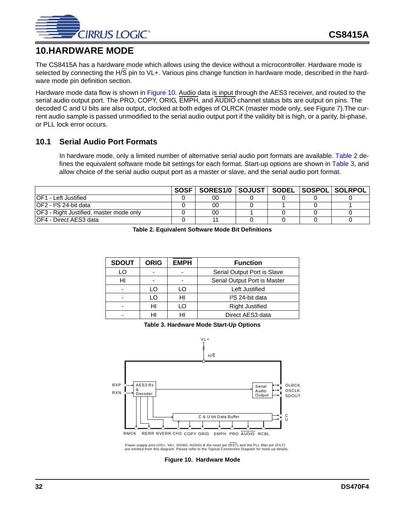

# **10.HARDWARE MODE**

The CS8415A has a hardware mode which allows using the device without a microcontroller. Hardware mode is selected by connecting the H/S pin to VL+. Various pins change function in hardware mode, described in the hardware mode pin definition section.

Hardware mode data flow is shown in [Figure 10.](#page-31-0) Audio data is input through the AES3 receiver, and routed to the serial audio output port. The PRO, COPY, ORIG, EMPH, and AUDIO channel status bits are output on pins. The decoded C and U bits are also output, clocked at both edges of OLRCK (master mode only, see Figure [7\)](#page-16-0).The current audio sample is passed unmodified to the serial audio output port if the validity bit is high, or a parity, bi-phase, or PLL lock error occurs.

# **10.1 Serial Audio Port Formats**

In hardware mode, only a limited number of alternative serial audio port formats are available. [Table 2](#page-31-1) defines the equivalent software mode bit settings for each format. Start-up options are shown in [Table 3,](#page-31-2) and allow choice of the serial audio output port as a master or slave, and the serial audio port format.

<span id="page-31-1"></span>

|                                         | SOSF   SORES1/0   SOJUST   SODEL   SOSPOL   SOLRPOL |  |  |
|-----------------------------------------|-----------------------------------------------------|--|--|
| IOF1 - Left Justified                   | 00                                                  |  |  |
| IOF2 - I <sup>2</sup> S 24-bit data     | 00                                                  |  |  |
| OF3 - Right Justified, master mode only | 00                                                  |  |  |
| IOF4 - Direct AES3 data                 |                                                     |  |  |

| Table 2. Equivalent Software Mode Bit Definitions |  |
|---------------------------------------------------|--|
|                                                   |  |

| <b>SDOUT</b> | <b>ORIG</b> | <b>EMPH</b> | <b>Function</b>              |  |
|--------------|-------------|-------------|------------------------------|--|
| LO           |             |             | Serial Output Port is Slave  |  |
| HI           |             |             | Serial Output Port is Master |  |
|              | L O         | LO          | Left Justified               |  |
|              | L O         | HI          | I <sup>2</sup> S 24-bit data |  |
|              | HI          | LO          | <b>Right Justified</b>       |  |
|              | н           | нı          | Direct AES3 data             |  |

**Table 3. Hardware Mode Start-Up Options**

<span id="page-31-2"></span>

<span id="page-31-0"></span>Power supply pins (VD+, VA+, DGND, AGND) & the reset pin (RST) and the PLL filter pin (FILT) are omitted from this diagram. Please refer to the Typical Connection Diagram for hook-up details.

**Figure 10. Hardware Mode**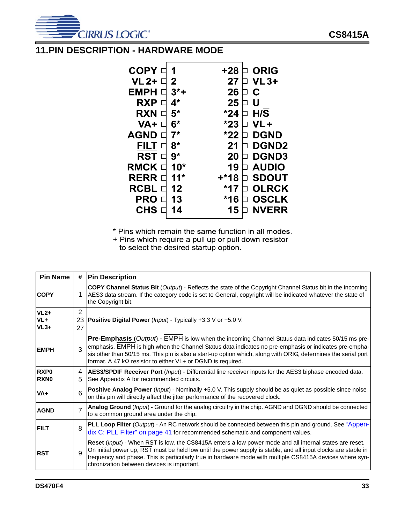

# **11.PIN DESCRIPTION - HARDWARE MODE**

| <b>COPY</b>   |             | +28   | <b>ORIG</b>  |
|---------------|-------------|-------|--------------|
| VL 2+ O       | 2           | 27    | <b>VL3+</b>  |
| <b>EMPH</b>   | $3^*$ +     | 26    | C            |
| <b>RXP</b>    | $4^{\star}$ | 25    | U            |
| <b>RXN</b>    | $5*$        | $*24$ | H/S          |
| VA+           | $6*$        | $*23$ | VL+          |
| <b>AGND</b>   | $7*$        | $*22$ | <b>DGND</b>  |
| FILT          | $8*$        | 21    | <b>DGND2</b> |
| RST □         | $9*$        | 20    | <b>DGND3</b> |
| <b>RMCK</b>   | $10*$       | 19    | <b>AUDIO</b> |
| <b>RERR D</b> | $11*$       | +*18  | <b>SDOUT</b> |
| <b>RCBL</b>   | 12          | $*17$ | <b>OLRCK</b> |
| <b>PRO</b>    | 13          | $*16$ | <b>OSCLK</b> |
| <b>CHS</b>    | 14          | 15    | <b>NVERR</b> |
|               |             |       |              |

\* Pins which remain the same function in all modes.

+ Pins which require a pull up or pull down resistor to select the desired startup option.

| <b>Pin Name</b>                 | #              | <b>Pin Description</b>                                                                                                                                                                                                                                                                                                                                                                              |  |  |  |  |
|---------------------------------|----------------|-----------------------------------------------------------------------------------------------------------------------------------------------------------------------------------------------------------------------------------------------------------------------------------------------------------------------------------------------------------------------------------------------------|--|--|--|--|
| <b>COPY</b>                     | 1              | COPY Channel Status Bit (Output) - Reflects the state of the Copyright Channel Status bit in the incoming<br>AES3 data stream. If the category code is set to General, copyright will be indicated whatever the state of<br>the Copyright bit.                                                                                                                                                      |  |  |  |  |
| $VL2+$<br>VL+<br>$VL3+$         | 2<br>27        | 23   Positive Digital Power (Input) - Typically +3.3 V or +5.0 V.                                                                                                                                                                                                                                                                                                                                   |  |  |  |  |
| <b>IEMPH</b>                    | $\mathbf{B}$   | Pre-Emphasis (Output) - EMPH is low when the incoming Channel Status data indicates 50/15 ms pre-<br>emphasis. EMPH is high when the Channel Status data indicates no pre-emphasis or indicates pre-empha-<br>sis other than 50/15 ms. This pin is also a start-up option which, along with ORIG, determines the serial port<br>format. A 47 k $\Omega$ resistor to either VL+ or DGND is required. |  |  |  |  |
| RXP <sub>0</sub><br><b>RXNO</b> | 4<br>5         | AES3/SPDIF Receiver Port (Input) - Differential line receiver inputs for the AES3 biphase encoded data.<br>See Appendix A for recommended circuits.                                                                                                                                                                                                                                                 |  |  |  |  |
| VA+                             | 6              | Positive Analog Power (Input) - Nominally +5.0 V. This supply should be as quiet as possible since noise<br>on this pin will directly affect the jitter performance of the recovered clock.                                                                                                                                                                                                         |  |  |  |  |
| <b>AGND</b>                     | $\overline{7}$ | Analog Ground (Input) - Ground for the analog circuitry in the chip. AGND and DGND should be connected<br>to a common ground area under the chip.                                                                                                                                                                                                                                                   |  |  |  |  |
| <b>FILT</b>                     | 8              | PLL Loop Filter (Output) - An RC network should be connected between this pin and ground. See "Appen-<br>dix C: PLL Filter" on page 41 for recommended schematic and component values.                                                                                                                                                                                                              |  |  |  |  |
| <b>IRST</b>                     | 9              | Reset (Input) - When RST is low, the CS8415A enters a low power mode and all internal states are reset.<br>On initial power up, RST must be held low until the power supply is stable, and all input clocks are stable in<br>frequency and phase. This is particularly true in hardware mode with multiple CS8415A devices where syn-<br>chronization between devices is important.                 |  |  |  |  |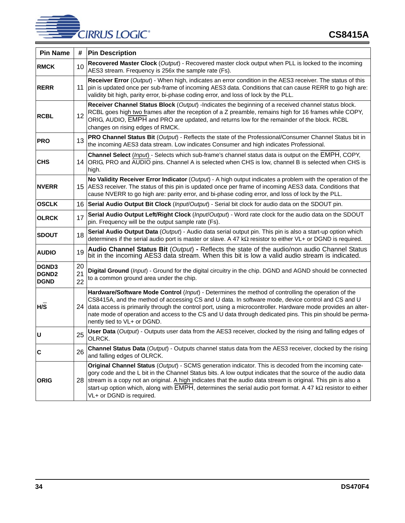# **CIRRUS LOGIC®**

| <b>Pin Name</b>                             | #              | <b>Pin Description</b>                                                                                                                                                                                                                                                                                                                                                                                                                                                               |  |  |  |  |
|---------------------------------------------|----------------|--------------------------------------------------------------------------------------------------------------------------------------------------------------------------------------------------------------------------------------------------------------------------------------------------------------------------------------------------------------------------------------------------------------------------------------------------------------------------------------|--|--|--|--|
| <b>RMCK</b>                                 | 10             | Recovered Master Clock (Output) - Recovered master clock output when PLL is locked to the incoming<br>AES3 stream. Frequency is 256x the sample rate (Fs).                                                                                                                                                                                                                                                                                                                           |  |  |  |  |
| <b>RERR</b>                                 | 11             | Receiver Error (Output) - When high, indicates an error condition in the AES3 receiver. The status of this<br>pin is updated once per sub-frame of incoming AES3 data. Conditions that can cause RERR to go high are:<br>validity bit high, parity error, bi-phase coding error, and loss of lock by the PLL.                                                                                                                                                                        |  |  |  |  |
| <b>RCBL</b>                                 | 12             | Receiver Channel Status Block (Output) -Indicates the beginning of a received channel status block.<br>RCBL goes high two frames after the reception of a Z preamble, remains high for 16 frames while COPY,<br>ORIG, AUDIO, EMPH and PRO are updated, and returns low for the remainder of the block. RCBL<br>changes on rising edges of RMCK.                                                                                                                                      |  |  |  |  |
| <b>PRO</b>                                  | 13             | PRO Channel Status Bit (Output) - Reflects the state of the Professional/Consumer Channel Status bit in<br>the incoming AES3 data stream. Low indicates Consumer and high indicates Professional.                                                                                                                                                                                                                                                                                    |  |  |  |  |
| <b>CHS</b>                                  | 14             | Channel Select (Input) - Selects which sub-frame's channel status data is output on the EMPH, COPY,<br>ORIG, PRO and AUDIO pins. Channel A is selected when CHS is low, channel B is selected when CHS is<br>high.                                                                                                                                                                                                                                                                   |  |  |  |  |
| <b>NVERR</b>                                |                | No Validity Receiver Error Indicator (Output) - A high output indicates a problem with the operation of the<br>15 AES3 receiver. The status of this pin is updated once per frame of incoming AES3 data. Conditions that<br>cause NVERR to go high are: parity error, and bi-phase coding error, and loss of lock by the PLL.                                                                                                                                                        |  |  |  |  |
| <b>OSCLK</b>                                | 16.            | Serial Audio Output Bit Clock (Input/Output) - Serial bit clock for audio data on the SDOUT pin.                                                                                                                                                                                                                                                                                                                                                                                     |  |  |  |  |
| <b>OLRCK</b>                                | 17             | Serial Audio Output Left/Right Clock (Input/Output) - Word rate clock for the audio data on the SDOUT<br>pin. Frequency will be the output sample rate (Fs).                                                                                                                                                                                                                                                                                                                         |  |  |  |  |
| <b>SDOUT</b>                                | 18             | Serial Audio Output Data (Output) - Audio data serial output pin. This pin is also a start-up option which<br>determines if the serial audio port is master or slave. A 47 $k\Omega$ resistor to either VL+ or DGND is required.                                                                                                                                                                                                                                                     |  |  |  |  |
| <b>AUDIO</b>                                | 19             | Audio Channel Status Bit (Output) - Reflects the state of the audio/non audio Channel Status<br>bit in the incoming AES3 data stream. When this bit is low a valid audio stream is indicated.                                                                                                                                                                                                                                                                                        |  |  |  |  |
| <b>DGND3</b><br><b>DGND2</b><br><b>DGND</b> | 20<br>21<br>22 | Digital Ground (Input) - Ground for the digital circuitry in the chip. DGND and AGND should be connected<br>to a common ground area under the chip.                                                                                                                                                                                                                                                                                                                                  |  |  |  |  |
| H/S                                         | 24             | Hardware/Software Mode Control (Input) - Determines the method of controlling the operation of the<br>CS8415A, and the method of accessing CS and U data. In software mode, device control and CS and U<br>data access is primarily through the control port, using a microcontroller. Hardware mode provides an alter-<br>nate mode of operation and access to the CS and U data through dedicated pins. This pin should be perma-<br>nently tied to VL+ or DGND.                   |  |  |  |  |
| U                                           | 25             | User Data (Output) - Outputs user data from the AES3 receiver, clocked by the rising and falling edges of<br>OLRCK.                                                                                                                                                                                                                                                                                                                                                                  |  |  |  |  |
| $\overline{\mathbf{c}}$                     | 26             | Channel Status Data (Output) - Outputs channel status data from the AES3 receiver, clocked by the rising<br>and falling edges of OLRCK.                                                                                                                                                                                                                                                                                                                                              |  |  |  |  |
| <b>ORIG</b>                                 |                | Original Channel Status (Output) - SCMS generation indicator. This is decoded from the incoming cate-<br>gory code and the L bit in the Channel Status bits. A low output indicates that the source of the audio data<br>28 stream is a copy not an original. A high indicates that the audio data stream is original. This pin is also a<br>start-up option which, along with EMPH, determines the serial audio port format. A 47 kΩ resistor to either<br>VL+ or DGND is required. |  |  |  |  |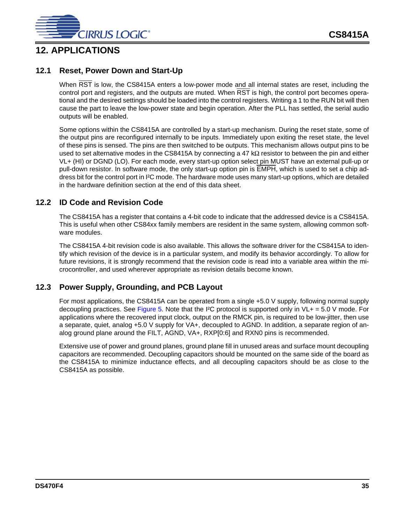

# **12. APPLICATIONS**

# **12.1 Reset, Power Down and Start-Up**

When RST is low, the CS8415A enters a low-power mode and all internal states are reset, including the control port and registers, and the outputs are muted. When RST is high, the control port becomes operational and the desired settings should be loaded into the control registers. Writing a 1 to the RUN bit will then cause the part to leave the low-power state and begin operation. After the PLL has settled, the serial audio outputs will be enabled.

Some options within the CS8415A are controlled by a start-up mechanism. During the reset state, some of the output pins are reconfigured internally to be inputs. Immediately upon exiting the reset state, the level of these pins is sensed. The pins are then switched to be outputs. This mechanism allows output pins to be used to set alternative modes in the CS8415A by connecting a 47 k $\Omega$  resistor to between the pin and either VL+ (HI) or DGND (LO). For each mode, every start-up option select pin MUST have an external pull-up or pull-down resistor. In software mode, the only start-up option pin is EMPH, which is used to set a chip address bit for the control port in I²C mode. The hardware mode uses many start-up options, which are detailed in the hardware definition section at the end of this data sheet.

# **12.2 ID Code and Revision Code**

The CS8415A has a register that contains a 4-bit code to indicate that the addressed device is a CS8415A. This is useful when other CS84xx family members are resident in the same system, allowing common software modules.

The CS8415A 4-bit revision code is also available. This allows the software driver for the CS8415A to identify which revision of the device is in a particular system, and modify its behavior accordingly. To allow for future revisions, it is strongly recommend that the revision code is read into a variable area within the microcontroller, and used wherever appropriate as revision details become known.

# **12.3 Power Supply, Grounding, and PCB Layout**

For most applications, the CS8415A can be operated from a single +5.0 V supply, following normal supply decoupling practices. See [Figure 5](#page-10-0). Note that the I<sup>2</sup>C protocol is supported only in  $VL += 5.0 V$  mode. For applications where the recovered input clock, output on the RMCK pin, is required to be low-jitter, then use a separate, quiet, analog +5.0 V supply for VA+, decoupled to AGND. In addition, a separate region of analog ground plane around the FILT, AGND, VA+, RXP[0:6] and RXN0 pins is recommended.

Extensive use of power and ground planes, ground plane fill in unused areas and surface mount decoupling capacitors are recommended. Decoupling capacitors should be mounted on the same side of the board as the CS8415A to minimize inductance effects, and all decoupling capacitors should be as close to the CS8415A as possible.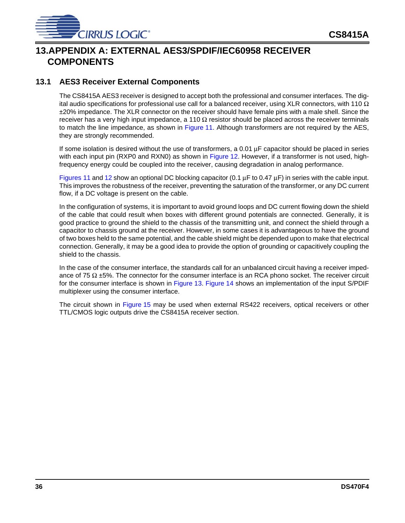

# **13.APPENDIX A: EXTERNAL AES3/SPDIF/IEC60958 RECEIVER COMPONENTS**

# **13.1 AES3 Receiver External Components**

The CS8415A AES3 receiver is designed to accept both the professional and consumer interfaces. The digital audio specifications for professional use call for a balanced receiver, using XLR connectors, with 110  $\Omega$ ±20% impedance. The XLR connector on the receiver should have female pins with a male shell. Since the receiver has a very high input impedance, a 110  $\Omega$  resistor should be placed across the receiver terminals to match the line impedance, as shown in [Figure 11.](#page-36-0) Although transformers are not required by the AES, they are strongly recommended.

If some isolation is desired without the use of transformers, a 0.01  $\mu$ F capacitor should be placed in series with each input pin (RXP0 and RXN0) as shown in [Figure 12.](#page-36-1) However, if a transformer is not used, highfrequency energy could be coupled into the receiver, causing degradation in analog performance.

[Figures 11](#page-36-0) and [12](#page-36-1) show an optional DC blocking capacitor (0.1  $\mu$ F to 0.47  $\mu$ F) in series with the cable input. This improves the robustness of the receiver, preventing the saturation of the transformer, or any DC current flow, if a DC voltage is present on the cable.

In the configuration of systems, it is important to avoid ground loops and DC current flowing down the shield of the cable that could result when boxes with different ground potentials are connected. Generally, it is good practice to ground the shield to the chassis of the transmitting unit, and connect the shield through a capacitor to chassis ground at the receiver. However, in some cases it is advantageous to have the ground of two boxes held to the same potential, and the cable shield might be depended upon to make that electrical connection. Generally, it may be a good idea to provide the option of grounding or capacitively coupling the shield to the chassis.

In the case of the consumer interface, the standards call for an unbalanced circuit having a receiver impedance of 75  $\Omega$  ±5%. The connector for the consumer interface is an RCA phono socket. The receiver circuit for the consumer interface is shown in [Figure 13](#page-36-2). [Figure 14](#page-36-3) shows an implementation of the input S/PDIF multiplexer using the consumer interface.

The circuit shown in [Figure 15](#page-36-4) may be used when external RS422 receivers, optical receivers or other TTL/CMOS logic outputs drive the CS8415A receiver section.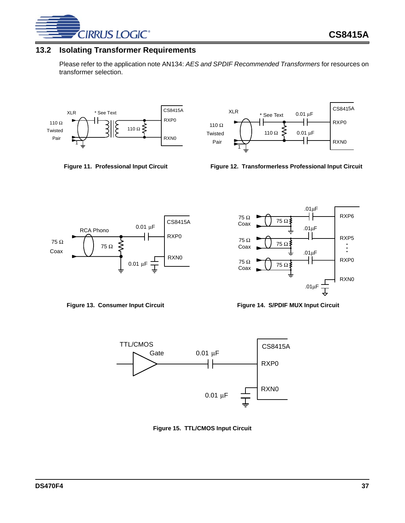

# **13.2 Isolating Transformer Requirements**

Please refer to the application note AN134: *AES and SPDIF Recommended Transformers* for resources on transformer selection.



<span id="page-36-0"></span>

CS8415A XLR  $0.01 \mu F$ \* See Text ┨┠ RXP0 110 Ω Twisted 110 Ω  $0.01 \mu F$ Pair RXN0 1

Figure 11. Professional Input Circuit **Figure 12. Transformerless Professional Input Circuit** 



<span id="page-36-2"></span>

<span id="page-36-1"></span>

<span id="page-36-3"></span>

<span id="page-36-4"></span>

**Figure 15. TTL/CMOS Input Circuit**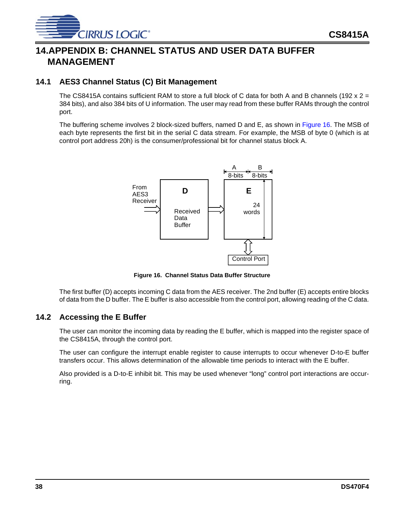

# **14.APPENDIX B: CHANNEL STATUS AND USER DATA BUFFER MANAGEMENT**

# **14.1 AES3 Channel Status (C) Bit Management**

The CS8415A contains sufficient RAM to store a full block of C data for both A and B channels (192 x  $2 =$ 384 bits), and also 384 bits of U information. The user may read from these buffer RAMs through the control port.

The buffering scheme involves 2 block-sized buffers, named D and E, as shown in [Figure 16](#page-37-0). The MSB of each byte represents the first bit in the serial C data stream. For example, the MSB of byte 0 (which is at control port address 20h) is the consumer/professional bit for channel status block A.



<span id="page-37-0"></span>**Figure 16. Channel Status Data Buffer Structure**

The first buffer (D) accepts incoming C data from the AES receiver. The 2nd buffer (E) accepts entire blocks of data from the D buffer. The E buffer is also accessible from the control port, allowing reading of the C data.

## **14.2 Accessing the E Buffer**

The user can monitor the incoming data by reading the E buffer, which is mapped into the register space of the CS8415A, through the control port.

The user can configure the interrupt enable register to cause interrupts to occur whenever D-to-E buffer transfers occur. This allows determination of the allowable time periods to interact with the E buffer.

Also provided is a D-to-E inhibit bit. This may be used whenever "long" control port interactions are occurring.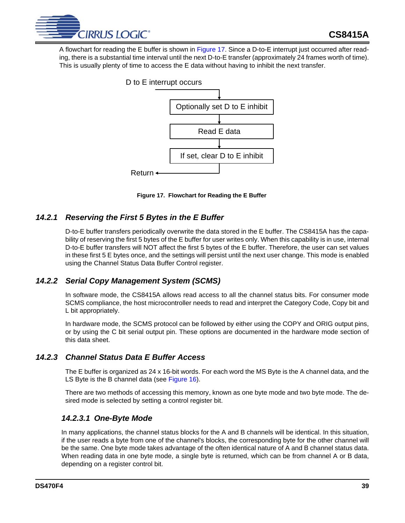

A flowchart for reading the E buffer is shown in [Figure 17](#page-38-0). Since a D-to-E interrupt just occurred after reading, there is a substantial time interval until the next D-to-E transfer (approximately 24 frames worth of time). This is usually plenty of time to access the E data without having to inhibit the next transfer.



<span id="page-38-0"></span>**Figure 17. Flowchart for Reading the E Buffer**

# *14.2.1 Reserving the First 5 Bytes in the E Buffer*

D-to-E buffer transfers periodically overwrite the data stored in the E buffer. The CS8415A has the capability of reserving the first 5 bytes of the E buffer for user writes only. When this capability is in use, internal D-to-E buffer transfers will NOT affect the first 5 bytes of the E buffer. Therefore, the user can set values in these first 5 E bytes once, and the settings will persist until the next user change. This mode is enabled using the Channel Status Data Buffer Control register.

# *14.2.2 Serial Copy Management System (SCMS)*

In software mode, the CS8415A allows read access to all the channel status bits. For consumer mode SCMS compliance, the host microcontroller needs to read and interpret the Category Code, Copy bit and L bit appropriately.

In hardware mode, the SCMS protocol can be followed by either using the COPY and ORIG output pins, or by using the C bit serial output pin. These options are documented in the hardware mode section of this data sheet.

# *14.2.3 Channel Status Data E Buffer Access*

The E buffer is organized as 24 x 16-bit words. For each word the MS Byte is the A channel data, and the LS Byte is the B channel data (see [Figure 16](#page-37-0)).

There are two methods of accessing this memory, known as one byte mode and two byte mode. The desired mode is selected by setting a control register bit.

# *14.2.3.1 One-Byte Mode*

In many applications, the channel status blocks for the A and B channels will be identical. In this situation, if the user reads a byte from one of the channel's blocks, the corresponding byte for the other channel will be the same. One byte mode takes advantage of the often identical nature of A and B channel status data. When reading data in one byte mode, a single byte is returned, which can be from channel A or B data, depending on a register control bit.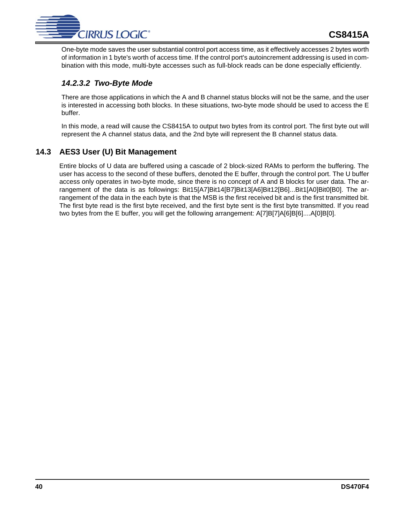

One-byte mode saves the user substantial control port access time, as it effectively accesses 2 bytes worth of information in 1 byte's worth of access time. If the control port's autoincrement addressing is used in combination with this mode, multi-byte accesses such as full-block reads can be done especially efficiently.

# *14.2.3.2 Two-Byte Mode*

There are those applications in which the A and B channel status blocks will not be the same, and the user is interested in accessing both blocks. In these situations, two-byte mode should be used to access the E buffer.

In this mode, a read will cause the CS8415A to output two bytes from its control port. The first byte out will represent the A channel status data, and the 2nd byte will represent the B channel status data.

# **14.3 AES3 User (U) Bit Management**

Entire blocks of U data are buffered using a cascade of 2 block-sized RAMs to perform the buffering. The user has access to the second of these buffers, denoted the E buffer, through the control port. The U buffer access only operates in two-byte mode, since there is no concept of A and B blocks for user data. The arrangement of the data is as followings: Bit15[A7]Bit14[B7]Bit13[A6]Bit12[B6]...Bit1[A0]Bit0[B0]. The arrangement of the data in the each byte is that the MSB is the first received bit and is the first transmitted bit. The first byte read is the first byte received, and the first byte sent is the first byte transmitted. If you read two bytes from the E buffer, you will get the following arrangement: A[7]B[7]A[6]B[6]....A[0]B[0].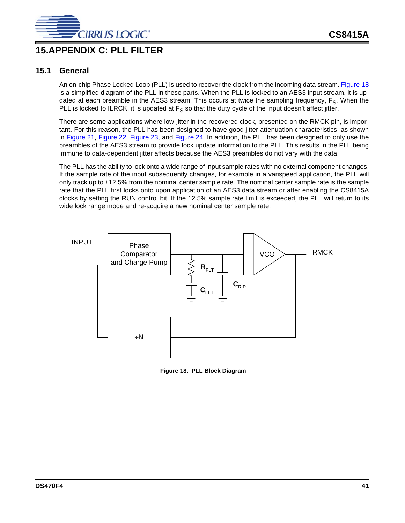

# <span id="page-40-1"></span>**15.APPENDIX C: PLL FILTER**

# **15.1 General**

An on-chip Phase Locked Loop (PLL) is used to recover the clock from the incoming data stream. [Figure 18](#page-40-0) is a simplified diagram of the PLL in these parts. When the PLL is locked to an AES3 input stream, it is updated at each preamble in the AES3 stream. This occurs at twice the sampling frequency,  $F_S$ . When the PLL is locked to ILRCK, it is updated at  $F_S$  so that the duty cycle of the input doesn't affect jitter.

There are some applications where low-jitter in the recovered clock, presented on the RMCK pin, is important. For this reason, the PLL has been designed to have good jitter attenuation characteristics, as shown in [Figure 21,](#page-44-0) [Figure 22,](#page-44-1) [Figure 23](#page-44-2), and [Figure 24](#page-44-3). In addition, the PLL has been designed to only use the preambles of the AES3 stream to provide lock update information to the PLL. This results in the PLL being immune to data-dependent jitter affects because the AES3 preambles do not vary with the data.

The PLL has the ability to lock onto a wide range of input sample rates with no external component changes. If the sample rate of the input subsequently changes, for example in a varispeed application, the PLL will only track up to ±12.5% from the nominal center sample rate. The nominal center sample rate is the sample rate that the PLL first locks onto upon application of an AES3 data stream or after enabling the CS8415A clocks by setting the RUN control bit. If the 12.5% sample rate limit is exceeded, the PLL will return to its wide lock range mode and re-acquire a new nominal center sample rate.



<span id="page-40-0"></span>**Figure 18. PLL Block Diagram**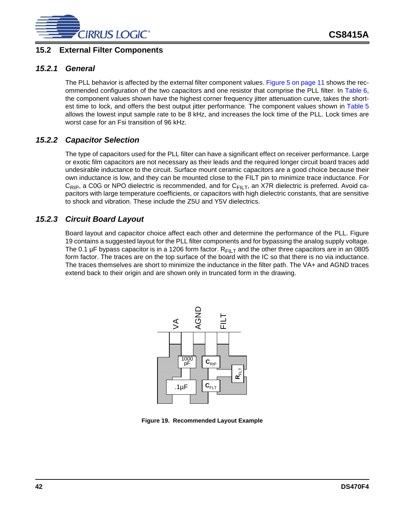

# **15.2 External Filter Components**

## *15.2.1 General*

The PLL behavior is affected by the external filter component values. [Figure 5 on page 11](#page-10-0) shows the recommended configuration of the two capacitors and one resistor that comprise the PLL filter. In [Table 6](#page-42-2), the component values shown have the highest corner frequency jitter attenuation curve, takes the shortest time to lock, and offers the best output jitter performance. The component values shown in [Table 5](#page-42-1) allows the lowest input sample rate to be 8 kHz, and increases the lock time of the PLL. Lock times are worst case for an Fsi transition of 96 kHz.

# *15.2.2 Capacitor Selection*

The type of capacitors used for the PLL filter can have a significant effect on receiver performance. Large or exotic film capacitors are not necessary as their leads and the required longer circuit board traces add undesirable inductance to the circuit. Surface mount ceramic capacitors are a good choice because their own inductance is low, and they can be mounted close to the FILT pin to minimize trace inductance. For  $C_{RIP}$ , a C0G or NPO dielectric is recommended, and for  $C_{FILT}$ , an X7R dielectric is preferred. Avoid capacitors with large temperature coefficients, or capacitors with high dielectric constants, that are sensitive to shock and vibration. These include the Z5U and Y5V dielectrics.

# *15.2.3 Circuit Board Layout*

Board layout and capacitor choice affect each other and determine the performance of the PLL. [Figure](#page-41-0) [19](#page-41-0) contains a suggested layout for the PLL filter components and for bypassing the analog supply voltage. The 0.1 µF bypass capacitor is in a 1206 form factor.  $R_{\text{FILT}}$  and the other three capacitors are in an 0805 form factor. The traces are on the top surface of the board with the IC so that there is no via inductance. The traces themselves are short to minimize the inductance in the filter path. The VA+ and AGND traces extend back to their origin and are shown only in truncated form in the drawing.



<span id="page-41-0"></span>**Figure 19. Recommended Layout Example**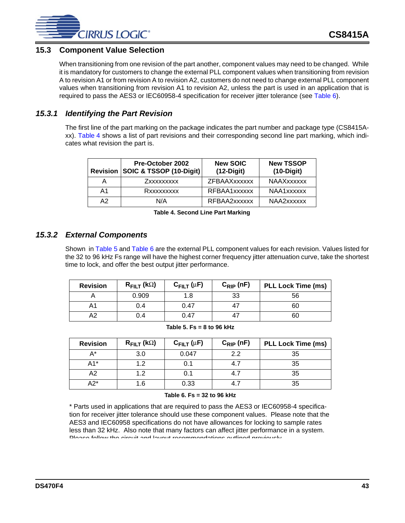

# **15.3 Component Value Selection**

When transitioning from one revision of the part another, component values may need to be changed. While it is mandatory for customers to change the external PLL component values when transitioning from revision A to revision A1 or from revision A to revision A2, customers do not need to change external PLL component values when transitioning from revision A1 to revision A2, unless the part is used in an application that is required to pass the AES3 or IEC60958-4 specification for receiver jitter tolerance (see [Table 6\)](#page-42-2).

# *15.3.1 Identifying the Part Revision*

The first line of the part marking on the package indicates the part number and package type (CS8415Axx). [Table 4](#page-42-0) shows a list of part revisions and their corresponding second line part marking, which indicates what revision the part is.

|                | Pre-October 2002<br>Revision SOIC & TSSOP (10-Digit) | <b>New SOIC</b><br>$(12-Digit)$ | <b>New TSSOP</b><br>$(10-Digit)$ |
|----------------|------------------------------------------------------|---------------------------------|----------------------------------|
|                | Zxxxxxxxxx                                           | ZFBAAXxxxxxx                    | <b>NAAXxxxxxx</b>                |
| A <sub>1</sub> | Rxxxxxxxxx                                           | RFBAA1xxxxxx                    | NAA1xxxxxx                       |
| A2             | N/A                                                  | RFBAA2xxxxxx                    | NAA2xxxxxx                       |

**Table 4. Second Line Part Marking**

# *15.3.2 External Components*

<span id="page-42-0"></span>Shown in [Table 5](#page-42-1) and [Table 6](#page-42-2) are the external PLL component values for each revision. Values listed for the 32 to 96 kHz Fs range will have the highest corner frequency jitter attenuation curve, take the shortest time to lock, and offer the best output jitter performance.

| <b>Revision</b> | $R_{\text{FILT}}$ (k $\Omega$ ) | $C_{\text{FILT}}(\mu F)$ | $C_{\text{RIP}}$ (nF) | <b>PLL Lock Time (ms)</b> |
|-----------------|---------------------------------|--------------------------|-----------------------|---------------------------|
|                 | 0.909                           | 1.8                      | 33                    | 56                        |
| A1              | 0.4                             | 0.47                     |                       | 60                        |
| Α2              | 0.4                             | 0.47                     |                       | 60                        |

| Table 5. Fs = 8 to 96 kHz |  |  |  |  |  |
|---------------------------|--|--|--|--|--|
|---------------------------|--|--|--|--|--|

<span id="page-42-1"></span>

| <b>Revision</b> | $R_{\text{FILT}}$ (kΩ) | $C_{\text{FILT}}(\mu F)$ | $C_{\text{RIP}}$ (nF) | <b>PLL Lock Time (ms)</b> |
|-----------------|------------------------|--------------------------|-----------------------|---------------------------|
| A*              | 3.0                    | 0.047                    | 2.2                   | 35                        |
| $A1*$           | 12                     | 0.1                      | 4.7                   | 35                        |
| A2              | 1.2                    | 0.1                      | 4.7                   | 35                        |
| A2*             | 1.6                    | 0.33                     | 4.7                   | 35                        |

#### **Table 6. Fs = 32 to 96 kHz**

<span id="page-42-2"></span>\* Parts used in applications that are required to pass the AES3 or IEC60958-4 specification for receiver jitter tolerance should use these component values. Please note that the AES3 and IEC60958 specifications do not have allowances for locking to sample rates less than 32 kHz. Also note that many factors can affect jitter performance in a system. Please follow the circuit and layout recommendations outlined previously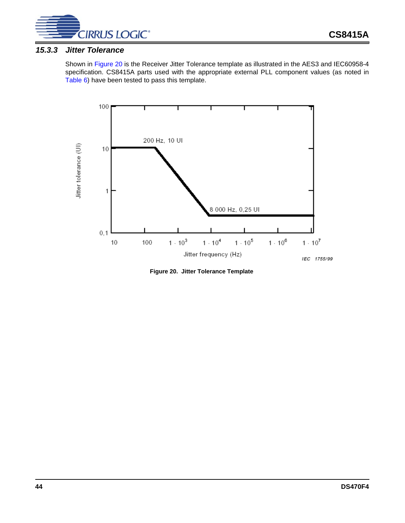

## *15.3.3 Jitter Tolerance*

Shown in [Figure 20](#page-43-0) is the Receiver Jitter Tolerance template as illustrated in the AES3 and IEC60958-4 specification. CS8415A parts used with the appropriate external PLL component values (as noted in [Table 6](#page-42-2)) have been tested to pass this template.



<span id="page-43-0"></span>**Figure 20. Jitter Tolerance Template**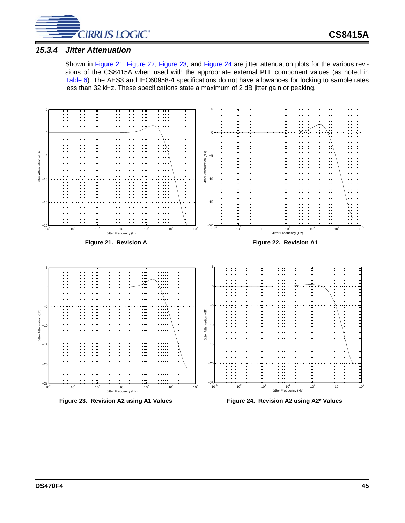

## *15.3.4 Jitter Attenuation*

<span id="page-44-1"></span>Shown in [Figure 21,](#page-44-0) [Figure 22](#page-44-1), [Figure 23](#page-44-2), and [Figure 24](#page-44-3) are jitter attenuation plots for the various revisions of the CS8415A when used with the appropriate external PLL component values (as noted in [Table 6](#page-42-2)). The AES3 and IEC60958-4 specifications do not have allowances for locking to sample rates less than 32 kHz. These specifications state a maximum of 2 dB jitter gain or peaking.

<span id="page-44-3"></span><span id="page-44-2"></span><span id="page-44-0"></span>